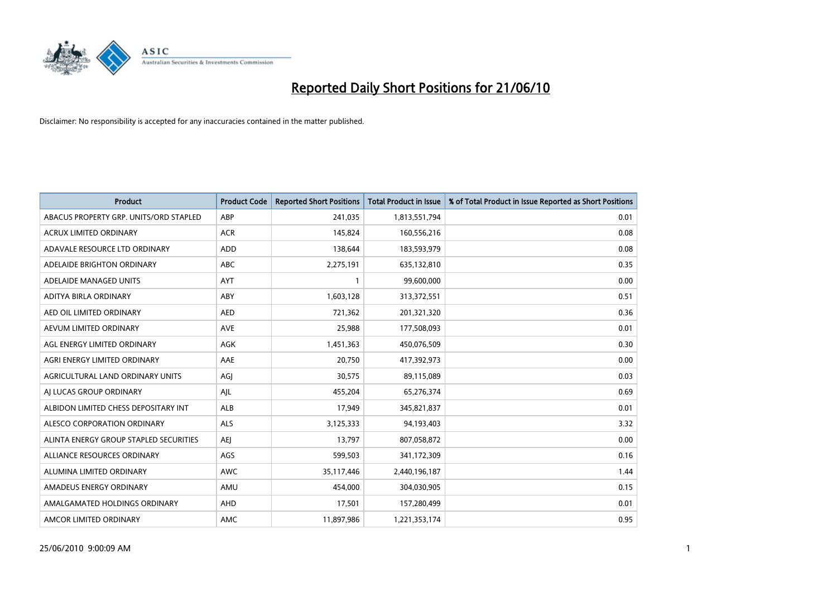

| <b>Product</b>                         | <b>Product Code</b> | <b>Reported Short Positions</b> | Total Product in Issue | % of Total Product in Issue Reported as Short Positions |
|----------------------------------------|---------------------|---------------------------------|------------------------|---------------------------------------------------------|
| ABACUS PROPERTY GRP. UNITS/ORD STAPLED | ABP                 | 241,035                         | 1,813,551,794          | 0.01                                                    |
| <b>ACRUX LIMITED ORDINARY</b>          | <b>ACR</b>          | 145,824                         | 160,556,216            | 0.08                                                    |
| ADAVALE RESOURCE LTD ORDINARY          | <b>ADD</b>          | 138,644                         | 183,593,979            | 0.08                                                    |
| ADELAIDE BRIGHTON ORDINARY             | <b>ABC</b>          | 2,275,191                       | 635,132,810            | 0.35                                                    |
| ADELAIDE MANAGED UNITS                 | AYT                 |                                 | 99,600,000             | 0.00                                                    |
| ADITYA BIRLA ORDINARY                  | ABY                 | 1,603,128                       | 313,372,551            | 0.51                                                    |
| AED OIL LIMITED ORDINARY               | <b>AED</b>          | 721.362                         | 201,321,320            | 0.36                                                    |
| AEVUM LIMITED ORDINARY                 | <b>AVE</b>          | 25,988                          | 177,508,093            | 0.01                                                    |
| AGL ENERGY LIMITED ORDINARY            | <b>AGK</b>          | 1,451,363                       | 450,076,509            | 0.30                                                    |
| AGRI ENERGY LIMITED ORDINARY           | AAE                 | 20.750                          | 417,392,973            | 0.00                                                    |
| AGRICULTURAL LAND ORDINARY UNITS       | AGJ                 | 30,575                          | 89,115,089             | 0.03                                                    |
| AI LUCAS GROUP ORDINARY                | AJL                 | 455,204                         | 65,276,374             | 0.69                                                    |
| ALBIDON LIMITED CHESS DEPOSITARY INT   | ALB                 | 17.949                          | 345,821,837            | 0.01                                                    |
| ALESCO CORPORATION ORDINARY            | <b>ALS</b>          | 3,125,333                       | 94,193,403             | 3.32                                                    |
| ALINTA ENERGY GROUP STAPLED SECURITIES | <b>AEI</b>          | 13,797                          | 807,058,872            | 0.00                                                    |
| ALLIANCE RESOURCES ORDINARY            | AGS                 | 599,503                         | 341,172,309            | 0.16                                                    |
| ALUMINA LIMITED ORDINARY               | <b>AWC</b>          | 35,117,446                      | 2,440,196,187          | 1.44                                                    |
| AMADEUS ENERGY ORDINARY                | AMU                 | 454,000                         | 304,030,905            | 0.15                                                    |
| AMALGAMATED HOLDINGS ORDINARY          | AHD                 | 17,501                          | 157,280,499            | 0.01                                                    |
| AMCOR LIMITED ORDINARY                 | <b>AMC</b>          | 11,897,986                      | 1,221,353,174          | 0.95                                                    |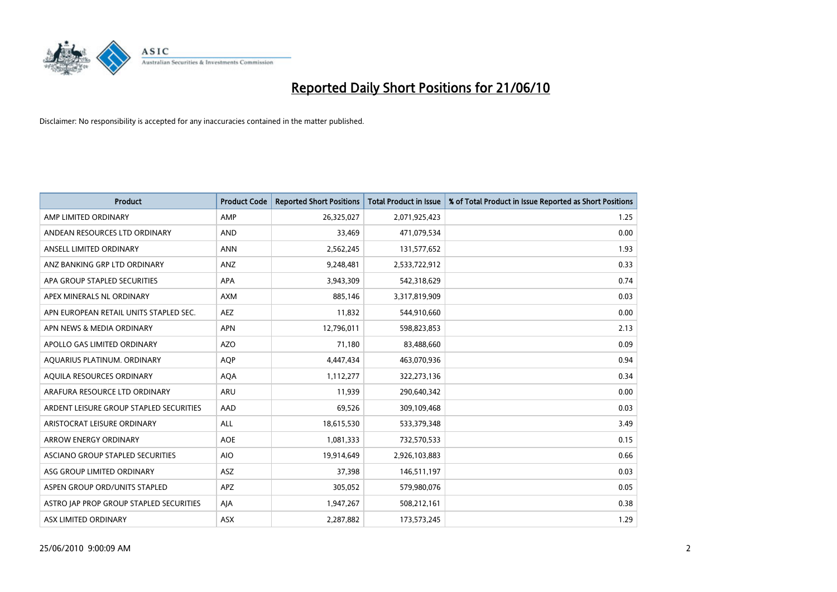

| <b>Product</b>                          | <b>Product Code</b> | <b>Reported Short Positions</b> | Total Product in Issue | % of Total Product in Issue Reported as Short Positions |
|-----------------------------------------|---------------------|---------------------------------|------------------------|---------------------------------------------------------|
| AMP LIMITED ORDINARY                    | AMP                 | 26,325,027                      | 2,071,925,423          | 1.25                                                    |
| ANDEAN RESOURCES LTD ORDINARY           | <b>AND</b>          | 33.469                          | 471,079,534            | 0.00                                                    |
| ANSELL LIMITED ORDINARY                 | <b>ANN</b>          | 2,562,245                       | 131,577,652            | 1.93                                                    |
| ANZ BANKING GRP LTD ORDINARY            | ANZ                 | 9,248,481                       | 2,533,722,912          | 0.33                                                    |
| APA GROUP STAPLED SECURITIES            | <b>APA</b>          | 3,943,309                       | 542,318,629            | 0.74                                                    |
| APEX MINERALS NL ORDINARY               | <b>AXM</b>          | 885,146                         | 3,317,819,909          | 0.03                                                    |
| APN EUROPEAN RETAIL UNITS STAPLED SEC.  | <b>AEZ</b>          | 11,832                          | 544,910,660            | 0.00                                                    |
| APN NEWS & MEDIA ORDINARY               | <b>APN</b>          | 12,796,011                      | 598,823,853            | 2.13                                                    |
| APOLLO GAS LIMITED ORDINARY             | <b>AZO</b>          | 71,180                          | 83,488,660             | 0.09                                                    |
| AOUARIUS PLATINUM. ORDINARY             | <b>AOP</b>          | 4,447,434                       | 463,070,936            | 0.94                                                    |
| AQUILA RESOURCES ORDINARY               | AQA                 | 1,112,277                       | 322,273,136            | 0.34                                                    |
| ARAFURA RESOURCE LTD ORDINARY           | ARU                 | 11,939                          | 290,640,342            | 0.00                                                    |
| ARDENT LEISURE GROUP STAPLED SECURITIES | AAD                 | 69.526                          | 309,109,468            | 0.03                                                    |
| ARISTOCRAT LEISURE ORDINARY             | <b>ALL</b>          | 18,615,530                      | 533,379,348            | 3.49                                                    |
| ARROW ENERGY ORDINARY                   | <b>AOE</b>          | 1,081,333                       | 732,570,533            | 0.15                                                    |
| ASCIANO GROUP STAPLED SECURITIES        | <b>AIO</b>          | 19,914,649                      | 2,926,103,883          | 0.66                                                    |
| ASG GROUP LIMITED ORDINARY              | <b>ASZ</b>          | 37,398                          | 146,511,197            | 0.03                                                    |
| ASPEN GROUP ORD/UNITS STAPLED           | APZ                 | 305,052                         | 579,980,076            | 0.05                                                    |
| ASTRO JAP PROP GROUP STAPLED SECURITIES | AJA                 | 1,947,267                       | 508,212,161            | 0.38                                                    |
| <b>ASX LIMITED ORDINARY</b>             | <b>ASX</b>          | 2,287,882                       | 173,573,245            | 1.29                                                    |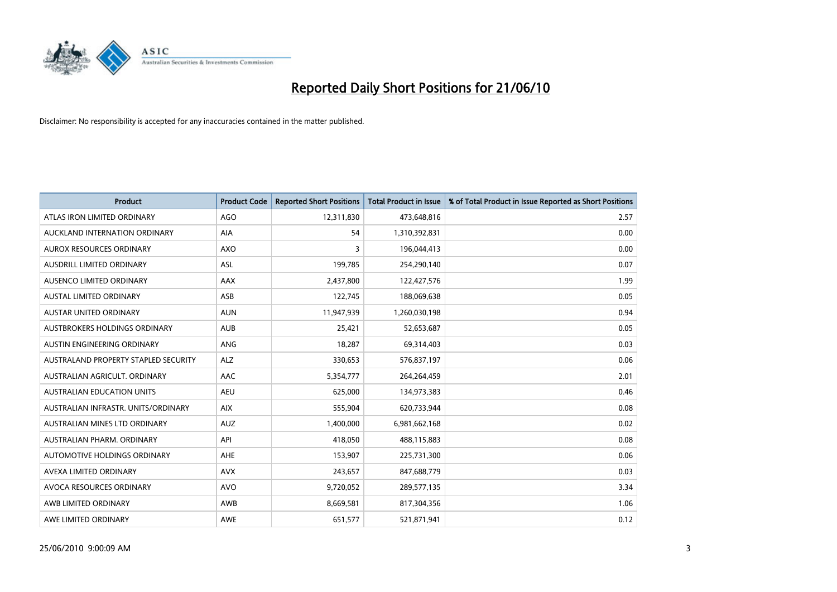

| <b>Product</b>                       | <b>Product Code</b> | <b>Reported Short Positions</b> | <b>Total Product in Issue</b> | % of Total Product in Issue Reported as Short Positions |
|--------------------------------------|---------------------|---------------------------------|-------------------------------|---------------------------------------------------------|
| ATLAS IRON LIMITED ORDINARY          | <b>AGO</b>          | 12,311,830                      | 473,648,816                   | 2.57                                                    |
| AUCKLAND INTERNATION ORDINARY        | AIA                 | 54                              | 1,310,392,831                 | 0.00                                                    |
| <b>AUROX RESOURCES ORDINARY</b>      | <b>AXO</b>          | 3                               | 196,044,413                   | 0.00                                                    |
| AUSDRILL LIMITED ORDINARY            | ASL                 | 199,785                         | 254,290,140                   | 0.07                                                    |
| AUSENCO LIMITED ORDINARY             | <b>AAX</b>          | 2,437,800                       | 122,427,576                   | 1.99                                                    |
| <b>AUSTAL LIMITED ORDINARY</b>       | ASB                 | 122,745                         | 188,069,638                   | 0.05                                                    |
| <b>AUSTAR UNITED ORDINARY</b>        | <b>AUN</b>          | 11,947,939                      | 1,260,030,198                 | 0.94                                                    |
| AUSTBROKERS HOLDINGS ORDINARY        | <b>AUB</b>          | 25,421                          | 52,653,687                    | 0.05                                                    |
| AUSTIN ENGINEERING ORDINARY          | ANG                 | 18,287                          | 69,314,403                    | 0.03                                                    |
| AUSTRALAND PROPERTY STAPLED SECURITY | <b>ALZ</b>          | 330,653                         | 576,837,197                   | 0.06                                                    |
| AUSTRALIAN AGRICULT, ORDINARY        | <b>AAC</b>          | 5,354,777                       | 264,264,459                   | 2.01                                                    |
| <b>AUSTRALIAN EDUCATION UNITS</b>    | <b>AEU</b>          | 625,000                         | 134,973,383                   | 0.46                                                    |
| AUSTRALIAN INFRASTR. UNITS/ORDINARY  | <b>AIX</b>          | 555,904                         | 620,733,944                   | 0.08                                                    |
| AUSTRALIAN MINES LTD ORDINARY        | <b>AUZ</b>          | 1,400,000                       | 6,981,662,168                 | 0.02                                                    |
| AUSTRALIAN PHARM, ORDINARY           | API                 | 418,050                         | 488,115,883                   | 0.08                                                    |
| AUTOMOTIVE HOLDINGS ORDINARY         | <b>AHE</b>          | 153,907                         | 225,731,300                   | 0.06                                                    |
| AVEXA LIMITED ORDINARY               | <b>AVX</b>          | 243,657                         | 847,688,779                   | 0.03                                                    |
| AVOCA RESOURCES ORDINARY             | <b>AVO</b>          | 9,720,052                       | 289,577,135                   | 3.34                                                    |
| AWB LIMITED ORDINARY                 | <b>AWB</b>          | 8,669,581                       | 817,304,356                   | 1.06                                                    |
| AWE LIMITED ORDINARY                 | <b>AWE</b>          | 651.577                         | 521,871,941                   | 0.12                                                    |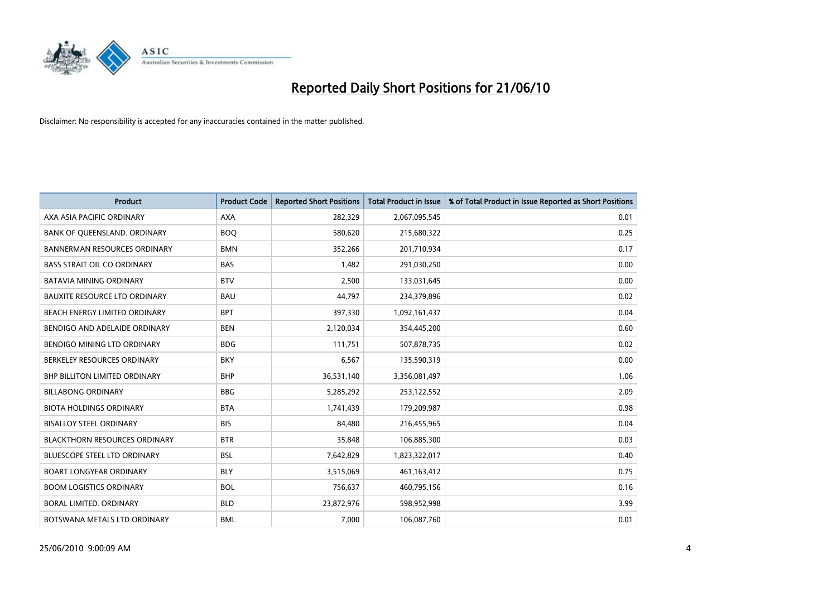

| <b>Product</b>                       | <b>Product Code</b> | <b>Reported Short Positions</b> | <b>Total Product in Issue</b> | % of Total Product in Issue Reported as Short Positions |
|--------------------------------------|---------------------|---------------------------------|-------------------------------|---------------------------------------------------------|
| AXA ASIA PACIFIC ORDINARY            | <b>AXA</b>          | 282,329                         | 2,067,095,545                 | 0.01                                                    |
| BANK OF QUEENSLAND. ORDINARY         | <b>BOO</b>          | 580,620                         | 215,680,322                   | 0.25                                                    |
| <b>BANNERMAN RESOURCES ORDINARY</b>  | <b>BMN</b>          | 352,266                         | 201,710,934                   | 0.17                                                    |
| <b>BASS STRAIT OIL CO ORDINARY</b>   | <b>BAS</b>          | 1,482                           | 291,030,250                   | 0.00                                                    |
| <b>BATAVIA MINING ORDINARY</b>       | <b>BTV</b>          | 2,500                           | 133,031,645                   | 0.00                                                    |
| BAUXITE RESOURCE LTD ORDINARY        | <b>BAU</b>          | 44,797                          | 234,379,896                   | 0.02                                                    |
| BEACH ENERGY LIMITED ORDINARY        | <b>BPT</b>          | 397,330                         | 1,092,161,437                 | 0.04                                                    |
| BENDIGO AND ADELAIDE ORDINARY        | <b>BEN</b>          | 2,120,034                       | 354,445,200                   | 0.60                                                    |
| BENDIGO MINING LTD ORDINARY          | <b>BDG</b>          | 111,751                         | 507,878,735                   | 0.02                                                    |
| BERKELEY RESOURCES ORDINARY          | <b>BKY</b>          | 6,567                           | 135,590,319                   | 0.00                                                    |
| <b>BHP BILLITON LIMITED ORDINARY</b> | <b>BHP</b>          | 36,531,140                      | 3,356,081,497                 | 1.06                                                    |
| <b>BILLABONG ORDINARY</b>            | <b>BBG</b>          | 5,285,292                       | 253,122,552                   | 2.09                                                    |
| <b>BIOTA HOLDINGS ORDINARY</b>       | <b>BTA</b>          | 1,741,439                       | 179,209,987                   | 0.98                                                    |
| <b>BISALLOY STEEL ORDINARY</b>       | <b>BIS</b>          | 84,480                          | 216,455,965                   | 0.04                                                    |
| <b>BLACKTHORN RESOURCES ORDINARY</b> | <b>BTR</b>          | 35,848                          | 106,885,300                   | 0.03                                                    |
| BLUESCOPE STEEL LTD ORDINARY         | <b>BSL</b>          | 7,642,829                       | 1,823,322,017                 | 0.40                                                    |
| <b>BOART LONGYEAR ORDINARY</b>       | <b>BLY</b>          | 3,515,069                       | 461,163,412                   | 0.75                                                    |
| <b>BOOM LOGISTICS ORDINARY</b>       | <b>BOL</b>          | 756,637                         | 460,795,156                   | 0.16                                                    |
| <b>BORAL LIMITED, ORDINARY</b>       | <b>BLD</b>          | 23,872,976                      | 598,952,998                   | 3.99                                                    |
| BOTSWANA METALS LTD ORDINARY         | <b>BML</b>          | 7.000                           | 106,087,760                   | 0.01                                                    |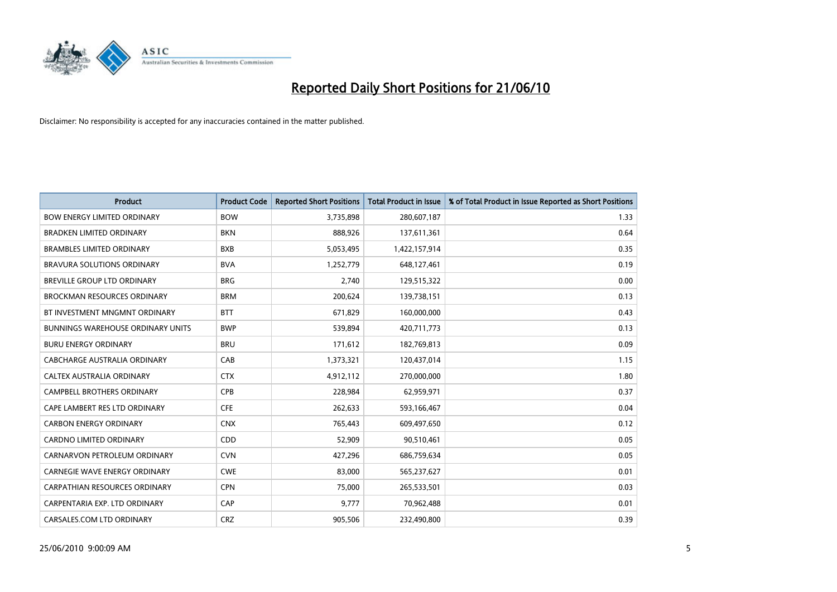

| <b>Product</b>                           | <b>Product Code</b> | <b>Reported Short Positions</b> | <b>Total Product in Issue</b> | % of Total Product in Issue Reported as Short Positions |
|------------------------------------------|---------------------|---------------------------------|-------------------------------|---------------------------------------------------------|
| <b>BOW ENERGY LIMITED ORDINARY</b>       | <b>BOW</b>          | 3,735,898                       | 280,607,187                   | 1.33                                                    |
| <b>BRADKEN LIMITED ORDINARY</b>          | <b>BKN</b>          | 888,926                         | 137,611,361                   | 0.64                                                    |
| <b>BRAMBLES LIMITED ORDINARY</b>         | <b>BXB</b>          | 5,053,495                       | 1,422,157,914                 | 0.35                                                    |
| BRAVURA SOLUTIONS ORDINARY               | <b>BVA</b>          | 1,252,779                       | 648,127,461                   | 0.19                                                    |
| BREVILLE GROUP LTD ORDINARY              | <b>BRG</b>          | 2,740                           | 129,515,322                   | 0.00                                                    |
| <b>BROCKMAN RESOURCES ORDINARY</b>       | <b>BRM</b>          | 200,624                         | 139,738,151                   | 0.13                                                    |
| BT INVESTMENT MNGMNT ORDINARY            | <b>BTT</b>          | 671,829                         | 160,000,000                   | 0.43                                                    |
| <b>BUNNINGS WAREHOUSE ORDINARY UNITS</b> | <b>BWP</b>          | 539,894                         | 420,711,773                   | 0.13                                                    |
| <b>BURU ENERGY ORDINARY</b>              | <b>BRU</b>          | 171,612                         | 182,769,813                   | 0.09                                                    |
| CABCHARGE AUSTRALIA ORDINARY             | CAB                 | 1,373,321                       | 120,437,014                   | 1.15                                                    |
| CALTEX AUSTRALIA ORDINARY                | <b>CTX</b>          | 4,912,112                       | 270,000,000                   | 1.80                                                    |
| <b>CAMPBELL BROTHERS ORDINARY</b>        | <b>CPB</b>          | 228,984                         | 62,959,971                    | 0.37                                                    |
| CAPE LAMBERT RES LTD ORDINARY            | <b>CFE</b>          | 262,633                         | 593,166,467                   | 0.04                                                    |
| <b>CARBON ENERGY ORDINARY</b>            | <b>CNX</b>          | 765,443                         | 609,497,650                   | 0.12                                                    |
| <b>CARDNO LIMITED ORDINARY</b>           | CDD                 | 52,909                          | 90,510,461                    | 0.05                                                    |
| CARNARVON PETROLEUM ORDINARY             | <b>CVN</b>          | 427,296                         | 686,759,634                   | 0.05                                                    |
| CARNEGIE WAVE ENERGY ORDINARY            | <b>CWE</b>          | 83,000                          | 565,237,627                   | 0.01                                                    |
| CARPATHIAN RESOURCES ORDINARY            | <b>CPN</b>          | 75,000                          | 265,533,501                   | 0.03                                                    |
| CARPENTARIA EXP. LTD ORDINARY            | CAP                 | 9,777                           | 70,962,488                    | 0.01                                                    |
| CARSALES.COM LTD ORDINARY                | <b>CRZ</b>          | 905,506                         | 232,490,800                   | 0.39                                                    |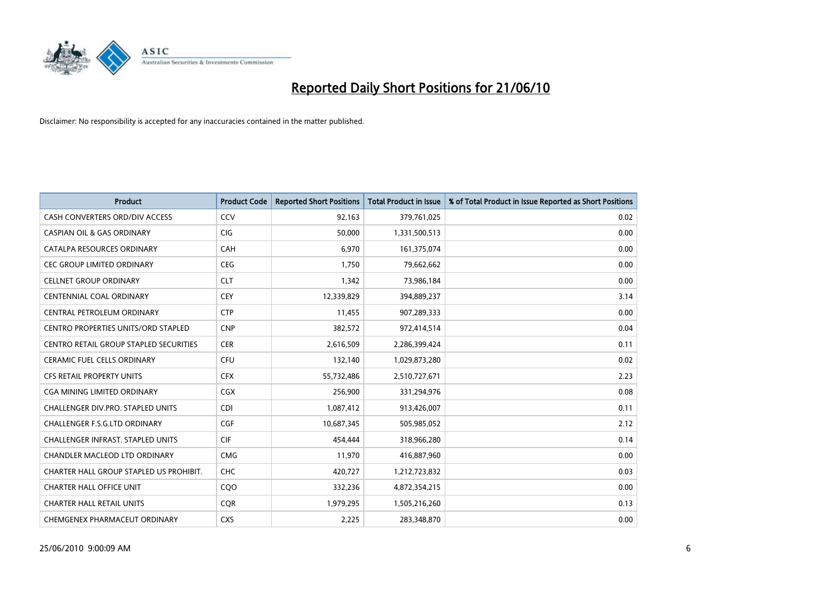

| <b>Product</b>                             | <b>Product Code</b> | <b>Reported Short Positions</b> | <b>Total Product in Issue</b> | % of Total Product in Issue Reported as Short Positions |
|--------------------------------------------|---------------------|---------------------------------|-------------------------------|---------------------------------------------------------|
| CASH CONVERTERS ORD/DIV ACCESS             | CCV                 | 92,163                          | 379,761,025                   | 0.02                                                    |
| <b>CASPIAN OIL &amp; GAS ORDINARY</b>      | <b>CIG</b>          | 50,000                          | 1,331,500,513                 | 0.00                                                    |
| CATALPA RESOURCES ORDINARY                 | CAH                 | 6,970                           | 161,375,074                   | 0.00                                                    |
| <b>CEC GROUP LIMITED ORDINARY</b>          | <b>CEG</b>          | 1,750                           | 79,662,662                    | 0.00                                                    |
| <b>CELLNET GROUP ORDINARY</b>              | <b>CLT</b>          | 1,342                           | 73,986,184                    | 0.00                                                    |
| <b>CENTENNIAL COAL ORDINARY</b>            | CEY                 | 12,339,829                      | 394,889,237                   | 3.14                                                    |
| CENTRAL PETROLEUM ORDINARY                 | <b>CTP</b>          | 11,455                          | 907,289,333                   | 0.00                                                    |
| <b>CENTRO PROPERTIES UNITS/ORD STAPLED</b> | <b>CNP</b>          | 382,572                         | 972,414,514                   | 0.04                                                    |
| CENTRO RETAIL GROUP STAPLED SECURITIES     | <b>CER</b>          | 2,616,509                       | 2,286,399,424                 | 0.11                                                    |
| <b>CERAMIC FUEL CELLS ORDINARY</b>         | CFU                 | 132,140                         | 1,029,873,280                 | 0.02                                                    |
| <b>CFS RETAIL PROPERTY UNITS</b>           | <b>CFX</b>          | 55,732,486                      | 2,510,727,671                 | 2.23                                                    |
| <b>CGA MINING LIMITED ORDINARY</b>         | CGX                 | 256,900                         | 331,294,976                   | 0.08                                                    |
| <b>CHALLENGER DIV.PRO. STAPLED UNITS</b>   | CDI                 | 1,087,412                       | 913,426,007                   | 0.11                                                    |
| CHALLENGER F.S.G.LTD ORDINARY              | CGF                 | 10,687,345                      | 505,985,052                   | 2.12                                                    |
| <b>CHALLENGER INFRAST, STAPLED UNITS</b>   | <b>CIF</b>          | 454,444                         | 318,966,280                   | 0.14                                                    |
| <b>CHANDLER MACLEOD LTD ORDINARY</b>       | <b>CMG</b>          | 11,970                          | 416,887,960                   | 0.00                                                    |
| CHARTER HALL GROUP STAPLED US PROHIBIT.    | <b>CHC</b>          | 420,727                         | 1,212,723,832                 | 0.03                                                    |
| <b>CHARTER HALL OFFICE UNIT</b>            | CQO                 | 332,236                         | 4,872,354,215                 | 0.00                                                    |
| <b>CHARTER HALL RETAIL UNITS</b>           | <b>COR</b>          | 1,979,295                       | 1,505,216,260                 | 0.13                                                    |
| CHEMGENEX PHARMACEUT ORDINARY              | <b>CXS</b>          | 2,225                           | 283,348,870                   | 0.00                                                    |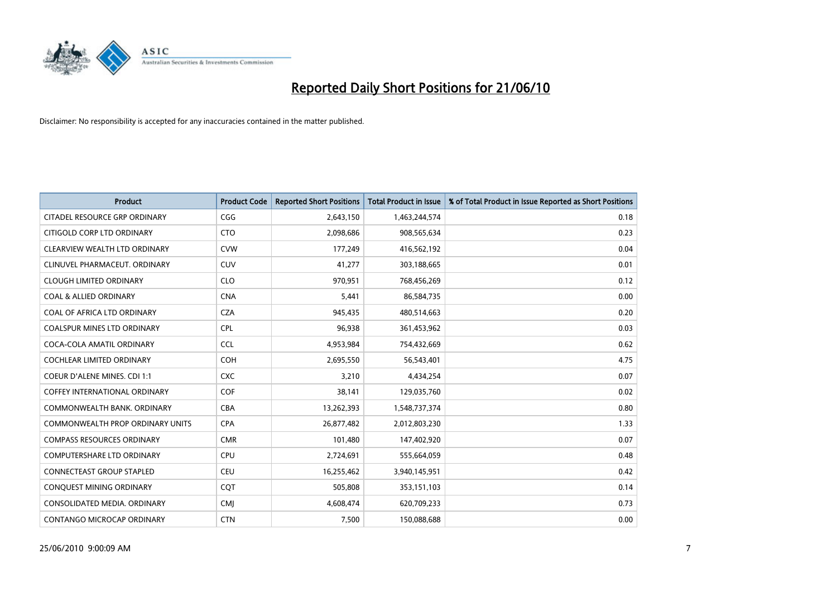

| <b>Product</b>                          | <b>Product Code</b> | <b>Reported Short Positions</b> | <b>Total Product in Issue</b> | % of Total Product in Issue Reported as Short Positions |
|-----------------------------------------|---------------------|---------------------------------|-------------------------------|---------------------------------------------------------|
| CITADEL RESOURCE GRP ORDINARY           | CGG                 | 2,643,150                       | 1,463,244,574                 | 0.18                                                    |
| CITIGOLD CORP LTD ORDINARY              | <b>CTO</b>          | 2,098,686                       | 908,565,634                   | 0.23                                                    |
| CLEARVIEW WEALTH LTD ORDINARY           | <b>CVW</b>          | 177,249                         | 416,562,192                   | 0.04                                                    |
| CLINUVEL PHARMACEUT, ORDINARY           | <b>CUV</b>          | 41,277                          | 303,188,665                   | 0.01                                                    |
| <b>CLOUGH LIMITED ORDINARY</b>          | <b>CLO</b>          | 970,951                         | 768,456,269                   | 0.12                                                    |
| <b>COAL &amp; ALLIED ORDINARY</b>       | <b>CNA</b>          | 5,441                           | 86,584,735                    | 0.00                                                    |
| COAL OF AFRICA LTD ORDINARY             | <b>CZA</b>          | 945,435                         | 480,514,663                   | 0.20                                                    |
| COALSPUR MINES LTD ORDINARY             | <b>CPL</b>          | 96,938                          | 361,453,962                   | 0.03                                                    |
| COCA-COLA AMATIL ORDINARY               | <b>CCL</b>          | 4,953,984                       | 754,432,669                   | 0.62                                                    |
| <b>COCHLEAR LIMITED ORDINARY</b>        | <b>COH</b>          | 2,695,550                       | 56,543,401                    | 4.75                                                    |
| <b>COEUR D'ALENE MINES. CDI 1:1</b>     | <b>CXC</b>          | 3,210                           | 4,434,254                     | 0.07                                                    |
| <b>COFFEY INTERNATIONAL ORDINARY</b>    | <b>COF</b>          | 38,141                          | 129,035,760                   | 0.02                                                    |
| COMMONWEALTH BANK, ORDINARY             | <b>CBA</b>          | 13,262,393                      | 1,548,737,374                 | 0.80                                                    |
| <b>COMMONWEALTH PROP ORDINARY UNITS</b> | <b>CPA</b>          | 26,877,482                      | 2,012,803,230                 | 1.33                                                    |
| <b>COMPASS RESOURCES ORDINARY</b>       | <b>CMR</b>          | 101,480                         | 147,402,920                   | 0.07                                                    |
| <b>COMPUTERSHARE LTD ORDINARY</b>       | CPU                 | 2,724,691                       | 555,664,059                   | 0.48                                                    |
| CONNECTEAST GROUP STAPLED               | CEU                 | 16,255,462                      | 3,940,145,951                 | 0.42                                                    |
| CONQUEST MINING ORDINARY                | CQT                 | 505,808                         | 353,151,103                   | 0.14                                                    |
| CONSOLIDATED MEDIA, ORDINARY            | <b>CMI</b>          | 4,608,474                       | 620,709,233                   | 0.73                                                    |
| CONTANGO MICROCAP ORDINARY              | <b>CTN</b>          | 7,500                           | 150,088,688                   | 0.00                                                    |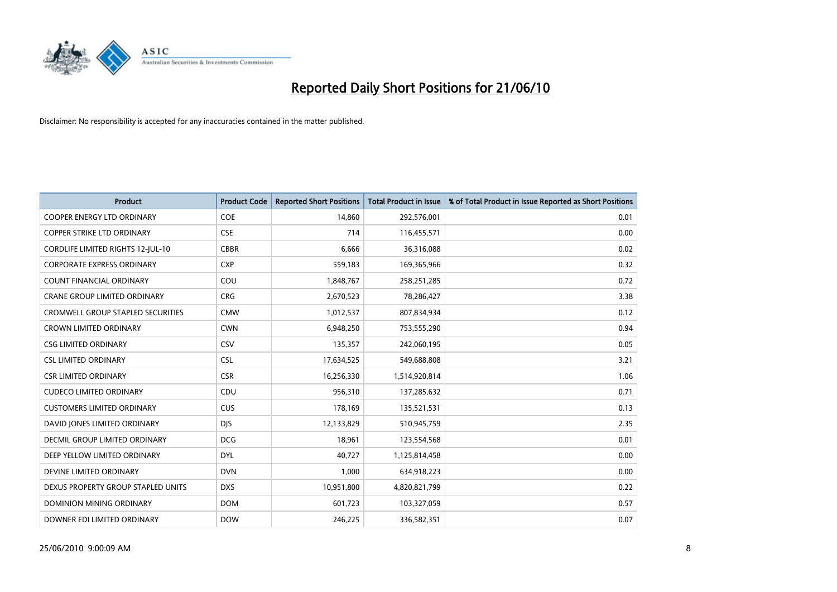

| <b>Product</b>                           | <b>Product Code</b> | <b>Reported Short Positions</b> | Total Product in Issue | % of Total Product in Issue Reported as Short Positions |
|------------------------------------------|---------------------|---------------------------------|------------------------|---------------------------------------------------------|
| <b>COOPER ENERGY LTD ORDINARY</b>        | COE                 | 14,860                          | 292,576,001            | 0.01                                                    |
| COPPER STRIKE LTD ORDINARY               | <b>CSE</b>          | 714                             | 116,455,571            | 0.00                                                    |
| <b>CORDLIFE LIMITED RIGHTS 12-JUL-10</b> | <b>CBBR</b>         | 6,666                           | 36,316,088             | 0.02                                                    |
| <b>CORPORATE EXPRESS ORDINARY</b>        | <b>CXP</b>          | 559,183                         | 169,365,966            | 0.32                                                    |
| <b>COUNT FINANCIAL ORDINARY</b>          | COU                 | 1,848,767                       | 258,251,285            | 0.72                                                    |
| <b>CRANE GROUP LIMITED ORDINARY</b>      | <b>CRG</b>          | 2,670,523                       | 78,286,427             | 3.38                                                    |
| <b>CROMWELL GROUP STAPLED SECURITIES</b> | <b>CMW</b>          | 1,012,537                       | 807,834,934            | 0.12                                                    |
| <b>CROWN LIMITED ORDINARY</b>            | <b>CWN</b>          | 6,948,250                       | 753,555,290            | 0.94                                                    |
| <b>CSG LIMITED ORDINARY</b>              | CSV                 | 135,357                         | 242,060,195            | 0.05                                                    |
| <b>CSL LIMITED ORDINARY</b>              | <b>CSL</b>          | 17,634,525                      | 549,688,808            | 3.21                                                    |
| <b>CSR LIMITED ORDINARY</b>              | <b>CSR</b>          | 16,256,330                      | 1,514,920,814          | 1.06                                                    |
| <b>CUDECO LIMITED ORDINARY</b>           | CDU                 | 956,310                         | 137,285,632            | 0.71                                                    |
| <b>CUSTOMERS LIMITED ORDINARY</b>        | <b>CUS</b>          | 178,169                         | 135,521,531            | 0.13                                                    |
| DAVID JONES LIMITED ORDINARY             | <b>DIS</b>          | 12,133,829                      | 510,945,759            | 2.35                                                    |
| DECMIL GROUP LIMITED ORDINARY            | <b>DCG</b>          | 18,961                          | 123,554,568            | 0.01                                                    |
| DEEP YELLOW LIMITED ORDINARY             | <b>DYL</b>          | 40,727                          | 1,125,814,458          | 0.00                                                    |
| DEVINE LIMITED ORDINARY                  | <b>DVN</b>          | 1,000                           | 634,918,223            | 0.00                                                    |
| DEXUS PROPERTY GROUP STAPLED UNITS       | <b>DXS</b>          | 10,951,800                      | 4,820,821,799          | 0.22                                                    |
| <b>DOMINION MINING ORDINARY</b>          | <b>DOM</b>          | 601,723                         | 103,327,059            | 0.57                                                    |
| DOWNER EDI LIMITED ORDINARY              | <b>DOW</b>          | 246,225                         | 336,582,351            | 0.07                                                    |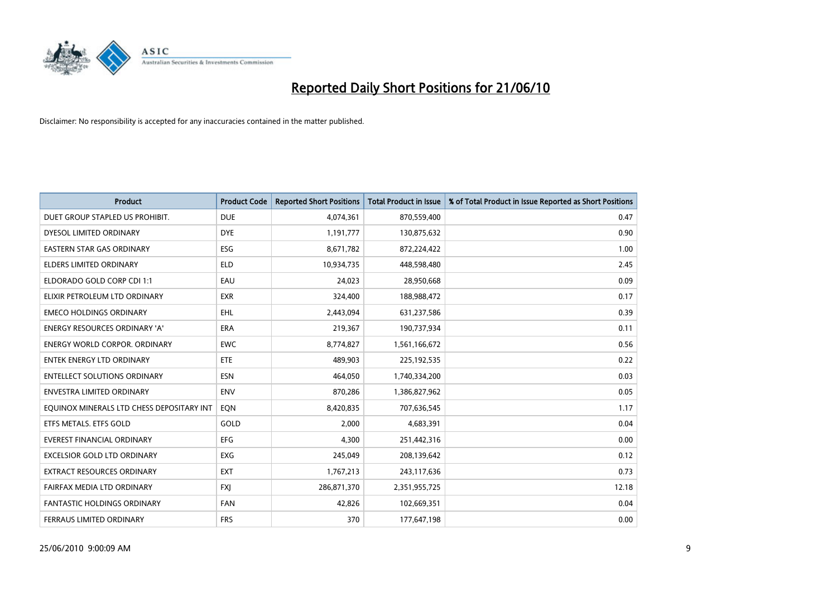

| <b>Product</b>                            | <b>Product Code</b> | <b>Reported Short Positions</b> | <b>Total Product in Issue</b> | % of Total Product in Issue Reported as Short Positions |
|-------------------------------------------|---------------------|---------------------------------|-------------------------------|---------------------------------------------------------|
| DUET GROUP STAPLED US PROHIBIT.           | <b>DUE</b>          | 4,074,361                       | 870,559,400                   | 0.47                                                    |
| DYESOL LIMITED ORDINARY                   | <b>DYE</b>          | 1,191,777                       | 130,875,632                   | 0.90                                                    |
| <b>EASTERN STAR GAS ORDINARY</b>          | ESG                 | 8,671,782                       | 872,224,422                   | 1.00                                                    |
| ELDERS LIMITED ORDINARY                   | <b>ELD</b>          | 10,934,735                      | 448,598,480                   | 2.45                                                    |
| ELDORADO GOLD CORP CDI 1:1                | EAU                 | 24,023                          | 28,950,668                    | 0.09                                                    |
| ELIXIR PETROLEUM LTD ORDINARY             | <b>EXR</b>          | 324,400                         | 188,988,472                   | 0.17                                                    |
| <b>EMECO HOLDINGS ORDINARY</b>            | <b>EHL</b>          | 2,443,094                       | 631,237,586                   | 0.39                                                    |
| <b>ENERGY RESOURCES ORDINARY 'A'</b>      | <b>ERA</b>          | 219,367                         | 190,737,934                   | 0.11                                                    |
| <b>ENERGY WORLD CORPOR, ORDINARY</b>      | <b>EWC</b>          | 8,774,827                       | 1,561,166,672                 | 0.56                                                    |
| <b>ENTEK ENERGY LTD ORDINARY</b>          | <b>ETE</b>          | 489,903                         | 225,192,535                   | 0.22                                                    |
| <b>ENTELLECT SOLUTIONS ORDINARY</b>       | <b>ESN</b>          | 464,050                         | 1,740,334,200                 | 0.03                                                    |
| ENVESTRA LIMITED ORDINARY                 | <b>ENV</b>          | 870,286                         | 1,386,827,962                 | 0.05                                                    |
| EQUINOX MINERALS LTD CHESS DEPOSITARY INT | EON                 | 8,420,835                       | 707,636,545                   | 1.17                                                    |
| ETFS METALS. ETFS GOLD                    | GOLD                | 2,000                           | 4,683,391                     | 0.04                                                    |
| <b>EVEREST FINANCIAL ORDINARY</b>         | <b>EFG</b>          | 4.300                           | 251,442,316                   | 0.00                                                    |
| <b>EXCELSIOR GOLD LTD ORDINARY</b>        | <b>EXG</b>          | 245,049                         | 208,139,642                   | 0.12                                                    |
| EXTRACT RESOURCES ORDINARY                | <b>EXT</b>          | 1,767,213                       | 243,117,636                   | 0.73                                                    |
| FAIRFAX MEDIA LTD ORDINARY                | <b>FXI</b>          | 286,871,370                     | 2,351,955,725                 | 12.18                                                   |
| <b>FANTASTIC HOLDINGS ORDINARY</b>        | <b>FAN</b>          | 42,826                          | 102,669,351                   | 0.04                                                    |
| FERRAUS LIMITED ORDINARY                  | <b>FRS</b>          | 370                             | 177,647,198                   | 0.00                                                    |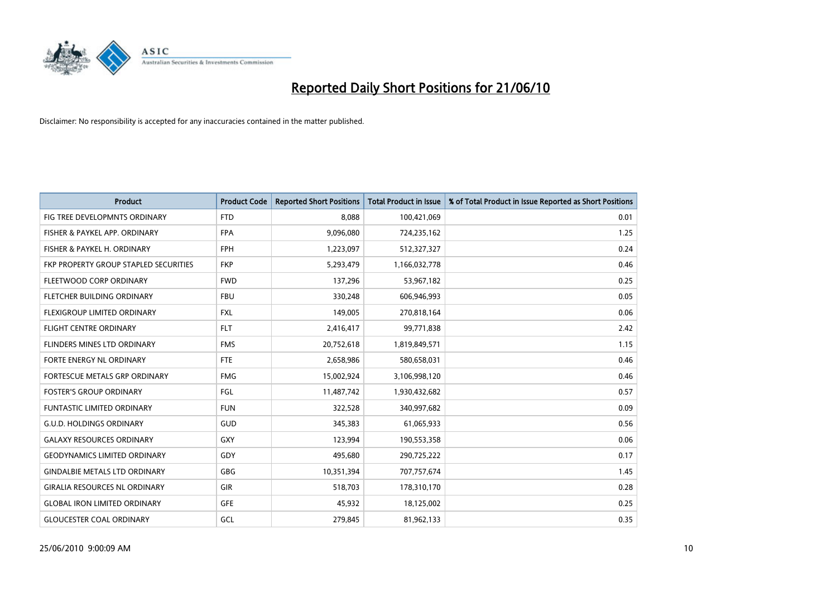

| <b>Product</b>                        | <b>Product Code</b> | <b>Reported Short Positions</b> | <b>Total Product in Issue</b> | % of Total Product in Issue Reported as Short Positions |
|---------------------------------------|---------------------|---------------------------------|-------------------------------|---------------------------------------------------------|
| FIG TREE DEVELOPMNTS ORDINARY         | <b>FTD</b>          | 8.088                           | 100,421,069                   | 0.01                                                    |
| FISHER & PAYKEL APP. ORDINARY         | <b>FPA</b>          | 9,096,080                       | 724,235,162                   | 1.25                                                    |
| FISHER & PAYKEL H. ORDINARY           | <b>FPH</b>          | 1,223,097                       | 512,327,327                   | 0.24                                                    |
| FKP PROPERTY GROUP STAPLED SECURITIES | <b>FKP</b>          | 5,293,479                       | 1,166,032,778                 | 0.46                                                    |
| FLEETWOOD CORP ORDINARY               | <b>FWD</b>          | 137,296                         | 53,967,182                    | 0.25                                                    |
| FLETCHER BUILDING ORDINARY            | <b>FBU</b>          | 330,248                         | 606,946,993                   | 0.05                                                    |
| FLEXIGROUP LIMITED ORDINARY           | <b>FXL</b>          | 149,005                         | 270,818,164                   | 0.06                                                    |
| <b>FLIGHT CENTRE ORDINARY</b>         | <b>FLT</b>          | 2,416,417                       | 99,771,838                    | 2.42                                                    |
| FLINDERS MINES LTD ORDINARY           | <b>FMS</b>          | 20,752,618                      | 1,819,849,571                 | 1.15                                                    |
| FORTE ENERGY NL ORDINARY              | <b>FTE</b>          | 2,658,986                       | 580,658,031                   | 0.46                                                    |
| FORTESCUE METALS GRP ORDINARY         | <b>FMG</b>          | 15,002,924                      | 3,106,998,120                 | 0.46                                                    |
| <b>FOSTER'S GROUP ORDINARY</b>        | FGL                 | 11,487,742                      | 1,930,432,682                 | 0.57                                                    |
| FUNTASTIC LIMITED ORDINARY            | <b>FUN</b>          | 322,528                         | 340,997,682                   | 0.09                                                    |
| <b>G.U.D. HOLDINGS ORDINARY</b>       | <b>GUD</b>          | 345,383                         | 61,065,933                    | 0.56                                                    |
| <b>GALAXY RESOURCES ORDINARY</b>      | <b>GXY</b>          | 123,994                         | 190,553,358                   | 0.06                                                    |
| <b>GEODYNAMICS LIMITED ORDINARY</b>   | GDY                 | 495,680                         | 290,725,222                   | 0.17                                                    |
| <b>GINDALBIE METALS LTD ORDINARY</b>  | GBG                 | 10,351,394                      | 707,757,674                   | 1.45                                                    |
| <b>GIRALIA RESOURCES NL ORDINARY</b>  | <b>GIR</b>          | 518,703                         | 178,310,170                   | 0.28                                                    |
| <b>GLOBAL IRON LIMITED ORDINARY</b>   | <b>GFE</b>          | 45,932                          | 18,125,002                    | 0.25                                                    |
| <b>GLOUCESTER COAL ORDINARY</b>       | GCL                 | 279,845                         | 81,962,133                    | 0.35                                                    |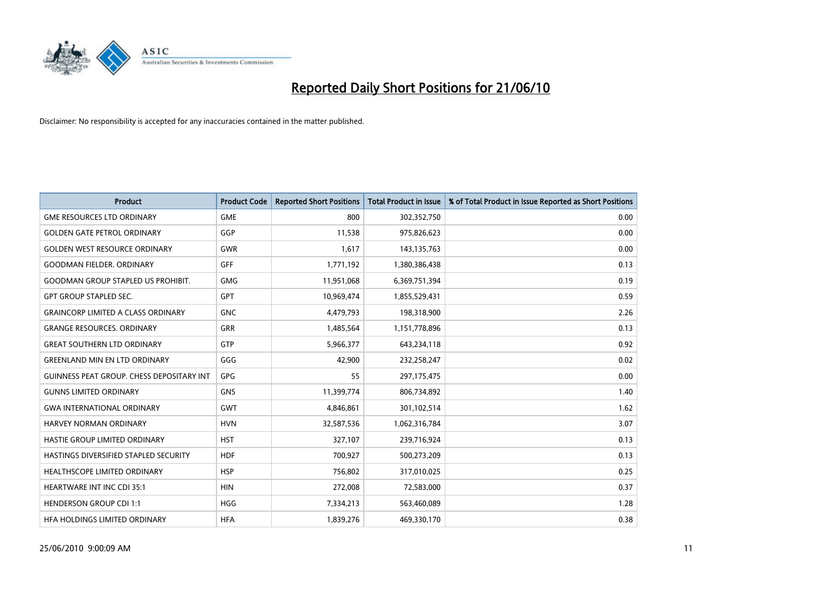

| <b>Product</b>                                   | <b>Product Code</b> | <b>Reported Short Positions</b> | Total Product in Issue | % of Total Product in Issue Reported as Short Positions |
|--------------------------------------------------|---------------------|---------------------------------|------------------------|---------------------------------------------------------|
| <b>GME RESOURCES LTD ORDINARY</b>                | <b>GME</b>          | 800                             | 302,352,750            | 0.00                                                    |
| <b>GOLDEN GATE PETROL ORDINARY</b>               | GGP                 | 11,538                          | 975,826,623            | 0.00                                                    |
| <b>GOLDEN WEST RESOURCE ORDINARY</b>             | <b>GWR</b>          | 1,617                           | 143, 135, 763          | 0.00                                                    |
| <b>GOODMAN FIELDER, ORDINARY</b>                 | <b>GFF</b>          | 1,771,192                       | 1,380,386,438          | 0.13                                                    |
| <b>GOODMAN GROUP STAPLED US PROHIBIT.</b>        | <b>GMG</b>          | 11,951,068                      | 6,369,751,394          | 0.19                                                    |
| <b>GPT GROUP STAPLED SEC.</b>                    | <b>GPT</b>          | 10,969,474                      | 1,855,529,431          | 0.59                                                    |
| <b>GRAINCORP LIMITED A CLASS ORDINARY</b>        | <b>GNC</b>          | 4,479,793                       | 198,318,900            | 2.26                                                    |
| <b>GRANGE RESOURCES, ORDINARY</b>                | GRR                 | 1,485,564                       | 1,151,778,896          | 0.13                                                    |
| <b>GREAT SOUTHERN LTD ORDINARY</b>               | <b>GTP</b>          | 5,966,377                       | 643,234,118            | 0.92                                                    |
| <b>GREENLAND MIN EN LTD ORDINARY</b>             | GGG                 | 42,900                          | 232,258,247            | 0.02                                                    |
| <b>GUINNESS PEAT GROUP. CHESS DEPOSITARY INT</b> | <b>GPG</b>          | 55                              | 297,175,475            | 0.00                                                    |
| <b>GUNNS LIMITED ORDINARY</b>                    | <b>GNS</b>          | 11,399,774                      | 806,734,892            | 1.40                                                    |
| <b>GWA INTERNATIONAL ORDINARY</b>                | <b>GWT</b>          | 4,846,861                       | 301,102,514            | 1.62                                                    |
| <b>HARVEY NORMAN ORDINARY</b>                    | <b>HVN</b>          | 32,587,536                      | 1,062,316,784          | 3.07                                                    |
| HASTIE GROUP LIMITED ORDINARY                    | <b>HST</b>          | 327,107                         | 239,716,924            | 0.13                                                    |
| HASTINGS DIVERSIFIED STAPLED SECURITY            | <b>HDF</b>          | 700,927                         | 500,273,209            | 0.13                                                    |
| <b>HEALTHSCOPE LIMITED ORDINARY</b>              | <b>HSP</b>          | 756,802                         | 317,010,025            | 0.25                                                    |
| <b>HEARTWARE INT INC CDI 35:1</b>                | <b>HIN</b>          | 272,008                         | 72,583,000             | 0.37                                                    |
| <b>HENDERSON GROUP CDI 1:1</b>                   | <b>HGG</b>          | 7,334,213                       | 563,460,089            | 1.28                                                    |
| HEA HOLDINGS LIMITED ORDINARY                    | <b>HFA</b>          | 1.839.276                       | 469,330,170            | 0.38                                                    |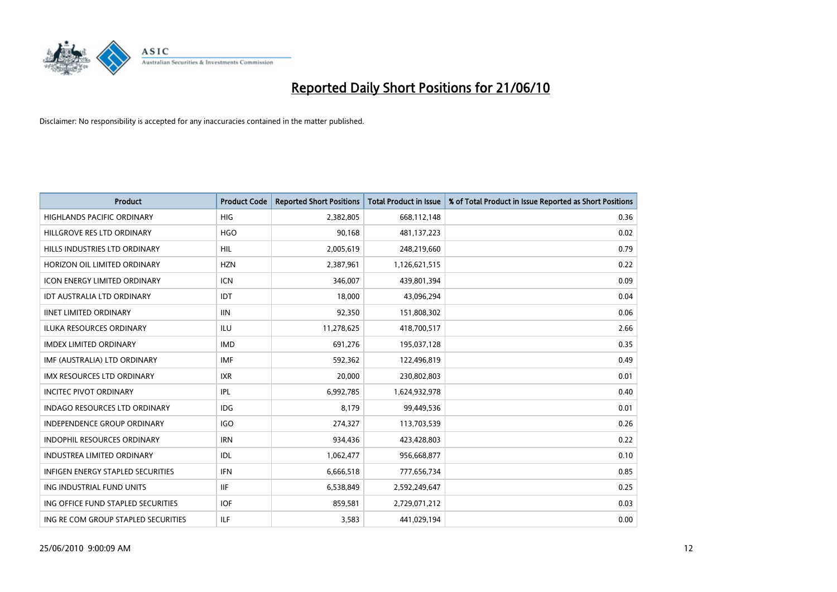

| <b>Product</b>                      | <b>Product Code</b> | <b>Reported Short Positions</b> | <b>Total Product in Issue</b> | % of Total Product in Issue Reported as Short Positions |
|-------------------------------------|---------------------|---------------------------------|-------------------------------|---------------------------------------------------------|
| <b>HIGHLANDS PACIFIC ORDINARY</b>   | <b>HIG</b>          | 2,382,805                       | 668,112,148                   | 0.36                                                    |
| HILLGROVE RES LTD ORDINARY          | <b>HGO</b>          | 90,168                          | 481,137,223                   | 0.02                                                    |
| HILLS INDUSTRIES LTD ORDINARY       | <b>HIL</b>          | 2,005,619                       | 248,219,660                   | 0.79                                                    |
| HORIZON OIL LIMITED ORDINARY        | <b>HZN</b>          | 2,387,961                       | 1,126,621,515                 | 0.22                                                    |
| <b>ICON ENERGY LIMITED ORDINARY</b> | <b>ICN</b>          | 346,007                         | 439,801,394                   | 0.09                                                    |
| <b>IDT AUSTRALIA LTD ORDINARY</b>   | IDT                 | 18,000                          | 43,096,294                    | 0.04                                                    |
| <b>IINET LIMITED ORDINARY</b>       | <b>IIN</b>          | 92,350                          | 151,808,302                   | 0.06                                                    |
| ILUKA RESOURCES ORDINARY            | <b>ILU</b>          | 11,278,625                      | 418,700,517                   | 2.66                                                    |
| <b>IMDEX LIMITED ORDINARY</b>       | <b>IMD</b>          | 691,276                         | 195,037,128                   | 0.35                                                    |
| IMF (AUSTRALIA) LTD ORDINARY        | <b>IMF</b>          | 592,362                         | 122,496,819                   | 0.49                                                    |
| IMX RESOURCES LTD ORDINARY          | <b>IXR</b>          | 20,000                          | 230,802,803                   | 0.01                                                    |
| <b>INCITEC PIVOT ORDINARY</b>       | <b>IPL</b>          | 6,992,785                       | 1,624,932,978                 | 0.40                                                    |
| INDAGO RESOURCES LTD ORDINARY       | <b>IDG</b>          | 8,179                           | 99,449,536                    | 0.01                                                    |
| <b>INDEPENDENCE GROUP ORDINARY</b>  | <b>IGO</b>          | 274,327                         | 113,703,539                   | 0.26                                                    |
| <b>INDOPHIL RESOURCES ORDINARY</b>  | <b>IRN</b>          | 934,436                         | 423,428,803                   | 0.22                                                    |
| <b>INDUSTREA LIMITED ORDINARY</b>   | IDL                 | 1,062,477                       | 956,668,877                   | 0.10                                                    |
| INFIGEN ENERGY STAPLED SECURITIES   | <b>IFN</b>          | 6,666,518                       | 777,656,734                   | 0.85                                                    |
| ING INDUSTRIAL FUND UNITS           | <b>IIF</b>          | 6,538,849                       | 2,592,249,647                 | 0.25                                                    |
| ING OFFICE FUND STAPLED SECURITIES  | <b>IOF</b>          | 859,581                         | 2,729,071,212                 | 0.03                                                    |
| ING RE COM GROUP STAPLED SECURITIES | <b>ILF</b>          | 3,583                           | 441,029,194                   | 0.00                                                    |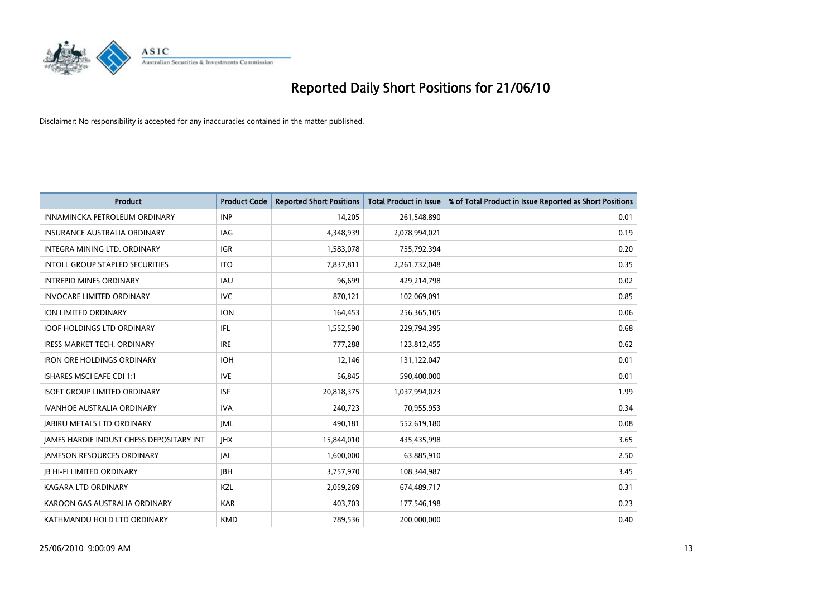

| <b>Product</b>                                  | <b>Product Code</b> | <b>Reported Short Positions</b> | <b>Total Product in Issue</b> | % of Total Product in Issue Reported as Short Positions |
|-------------------------------------------------|---------------------|---------------------------------|-------------------------------|---------------------------------------------------------|
| INNAMINCKA PETROLEUM ORDINARY                   | <b>INP</b>          | 14,205                          | 261,548,890                   | 0.01                                                    |
| <b>INSURANCE AUSTRALIA ORDINARY</b>             | <b>IAG</b>          | 4,348,939                       | 2,078,994,021                 | 0.19                                                    |
| INTEGRA MINING LTD, ORDINARY                    | <b>IGR</b>          | 1,583,078                       | 755,792,394                   | 0.20                                                    |
| INTOLL GROUP STAPLED SECURITIES                 | <b>ITO</b>          | 7,837,811                       | 2,261,732,048                 | 0.35                                                    |
| <b>INTREPID MINES ORDINARY</b>                  | <b>IAU</b>          | 96.699                          | 429,214,798                   | 0.02                                                    |
| <b>INVOCARE LIMITED ORDINARY</b>                | <b>IVC</b>          | 870,121                         | 102,069,091                   | 0.85                                                    |
| ION LIMITED ORDINARY                            | <b>ION</b>          | 164,453                         | 256,365,105                   | 0.06                                                    |
| <b>IOOF HOLDINGS LTD ORDINARY</b>               | <b>IFL</b>          | 1,552,590                       | 229,794,395                   | 0.68                                                    |
| <b>IRESS MARKET TECH. ORDINARY</b>              | <b>IRE</b>          | 777,288                         | 123,812,455                   | 0.62                                                    |
| <b>IRON ORE HOLDINGS ORDINARY</b>               | <b>IOH</b>          | 12,146                          | 131,122,047                   | 0.01                                                    |
| <b>ISHARES MSCI EAFE CDI 1:1</b>                | <b>IVE</b>          | 56,845                          | 590,400,000                   | 0.01                                                    |
| <b>ISOFT GROUP LIMITED ORDINARY</b>             | <b>ISF</b>          | 20,818,375                      | 1,037,994,023                 | 1.99                                                    |
| <b>IVANHOE AUSTRALIA ORDINARY</b>               | <b>IVA</b>          | 240.723                         | 70,955,953                    | 0.34                                                    |
| <b>JABIRU METALS LTD ORDINARY</b>               | <b>IML</b>          | 490.181                         | 552,619,180                   | 0.08                                                    |
| <b>JAMES HARDIE INDUST CHESS DEPOSITARY INT</b> | <b>JHX</b>          | 15,844,010                      | 435,435,998                   | 3.65                                                    |
| <b>JAMESON RESOURCES ORDINARY</b>               | <b>JAL</b>          | 1,600,000                       | 63,885,910                    | 2.50                                                    |
| <b>JB HI-FI LIMITED ORDINARY</b>                | <b>IBH</b>          | 3,757,970                       | 108,344,987                   | 3.45                                                    |
| KAGARA LTD ORDINARY                             | KZL                 | 2,059,269                       | 674,489,717                   | 0.31                                                    |
| KAROON GAS AUSTRALIA ORDINARY                   | <b>KAR</b>          | 403,703                         | 177,546,198                   | 0.23                                                    |
| KATHMANDU HOLD LTD ORDINARY                     | <b>KMD</b>          | 789,536                         | 200,000,000                   | 0.40                                                    |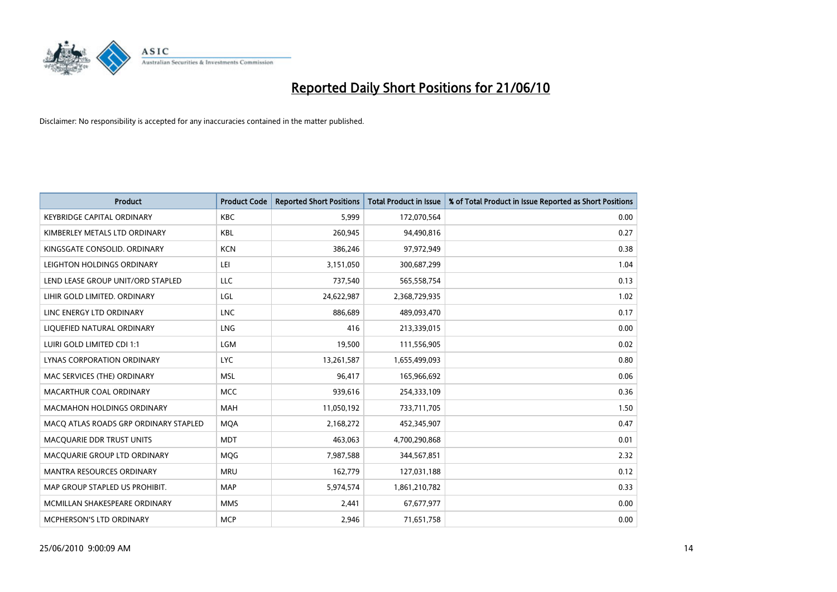

| <b>Product</b>                        | <b>Product Code</b> | <b>Reported Short Positions</b> | <b>Total Product in Issue</b> | % of Total Product in Issue Reported as Short Positions |
|---------------------------------------|---------------------|---------------------------------|-------------------------------|---------------------------------------------------------|
| <b>KEYBRIDGE CAPITAL ORDINARY</b>     | <b>KBC</b>          | 5,999                           | 172,070,564                   | 0.00                                                    |
| KIMBERLEY METALS LTD ORDINARY         | <b>KBL</b>          | 260,945                         | 94,490,816                    | 0.27                                                    |
| KINGSGATE CONSOLID. ORDINARY          | <b>KCN</b>          | 386,246                         | 97,972,949                    | 0.38                                                    |
| LEIGHTON HOLDINGS ORDINARY            | LEI                 | 3,151,050                       | 300,687,299                   | 1.04                                                    |
| LEND LEASE GROUP UNIT/ORD STAPLED     | LLC                 | 737,540                         | 565,558,754                   | 0.13                                                    |
| LIHIR GOLD LIMITED. ORDINARY          | LGL                 | 24,622,987                      | 2,368,729,935                 | 1.02                                                    |
| LINC ENERGY LTD ORDINARY              | <b>LNC</b>          | 886,689                         | 489,093,470                   | 0.17                                                    |
| LIQUEFIED NATURAL ORDINARY            | <b>LNG</b>          | 416                             | 213,339,015                   | 0.00                                                    |
| LUIRI GOLD LIMITED CDI 1:1            | LGM                 | 19,500                          | 111,556,905                   | 0.02                                                    |
| LYNAS CORPORATION ORDINARY            | <b>LYC</b>          | 13,261,587                      | 1,655,499,093                 | 0.80                                                    |
| MAC SERVICES (THE) ORDINARY           | <b>MSL</b>          | 96,417                          | 165,966,692                   | 0.06                                                    |
| MACARTHUR COAL ORDINARY               | <b>MCC</b>          | 939,616                         | 254,333,109                   | 0.36                                                    |
| <b>MACMAHON HOLDINGS ORDINARY</b>     | <b>MAH</b>          | 11,050,192                      | 733,711,705                   | 1.50                                                    |
| MACO ATLAS ROADS GRP ORDINARY STAPLED | <b>MOA</b>          | 2,168,272                       | 452,345,907                   | 0.47                                                    |
| MACQUARIE DDR TRUST UNITS             | <b>MDT</b>          | 463,063                         | 4,700,290,868                 | 0.01                                                    |
| MACQUARIE GROUP LTD ORDINARY          | <b>MOG</b>          | 7,987,588                       | 344,567,851                   | 2.32                                                    |
| <b>MANTRA RESOURCES ORDINARY</b>      | <b>MRU</b>          | 162,779                         | 127,031,188                   | 0.12                                                    |
| MAP GROUP STAPLED US PROHIBIT.        | <b>MAP</b>          | 5,974,574                       | 1,861,210,782                 | 0.33                                                    |
| MCMILLAN SHAKESPEARE ORDINARY         | <b>MMS</b>          | 2,441                           | 67,677,977                    | 0.00                                                    |
| <b>MCPHERSON'S LTD ORDINARY</b>       | <b>MCP</b>          | 2.946                           | 71,651,758                    | 0.00                                                    |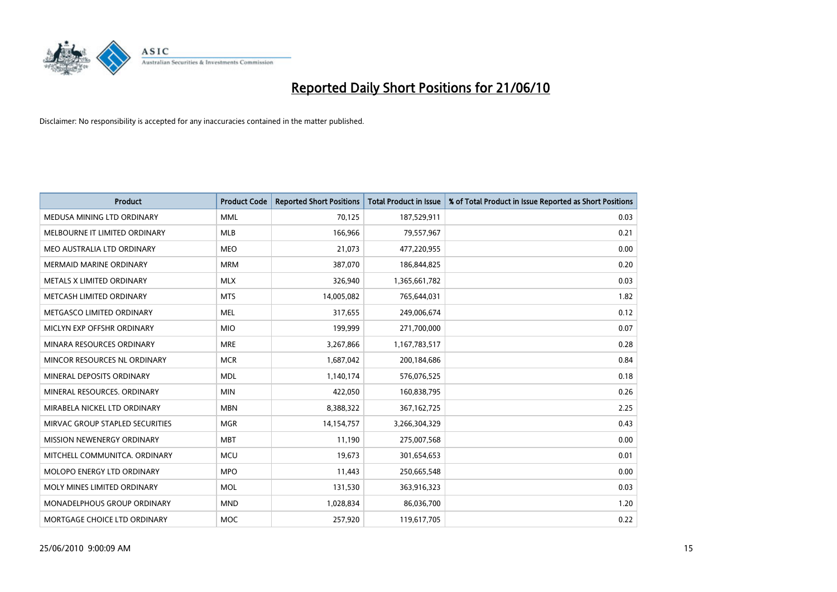

| <b>Product</b>                     | <b>Product Code</b> | <b>Reported Short Positions</b> | Total Product in Issue | % of Total Product in Issue Reported as Short Positions |
|------------------------------------|---------------------|---------------------------------|------------------------|---------------------------------------------------------|
| MEDUSA MINING LTD ORDINARY         | <b>MML</b>          | 70,125                          | 187,529,911            | 0.03                                                    |
| MELBOURNE IT LIMITED ORDINARY      | MLB                 | 166,966                         | 79,557,967             | 0.21                                                    |
| MEO AUSTRALIA LTD ORDINARY         | <b>MEO</b>          | 21,073                          | 477,220,955            | 0.00                                                    |
| MERMAID MARINE ORDINARY            | <b>MRM</b>          | 387,070                         | 186,844,825            | 0.20                                                    |
| METALS X LIMITED ORDINARY          | <b>MLX</b>          | 326,940                         | 1,365,661,782          | 0.03                                                    |
| METCASH LIMITED ORDINARY           | <b>MTS</b>          | 14,005,082                      | 765,644,031            | 1.82                                                    |
| METGASCO LIMITED ORDINARY          | <b>MEL</b>          | 317,655                         | 249,006,674            | 0.12                                                    |
| MICLYN EXP OFFSHR ORDINARY         | <b>MIO</b>          | 199,999                         | 271,700,000            | 0.07                                                    |
| MINARA RESOURCES ORDINARY          | <b>MRE</b>          | 3,267,866                       | 1,167,783,517          | 0.28                                                    |
| MINCOR RESOURCES NL ORDINARY       | <b>MCR</b>          | 1,687,042                       | 200,184,686            | 0.84                                                    |
| MINERAL DEPOSITS ORDINARY          | <b>MDL</b>          | 1,140,174                       | 576,076,525            | 0.18                                                    |
| MINERAL RESOURCES, ORDINARY        | <b>MIN</b>          | 422,050                         | 160,838,795            | 0.26                                                    |
| MIRABELA NICKEL LTD ORDINARY       | <b>MBN</b>          | 8,388,322                       | 367, 162, 725          | 2.25                                                    |
| MIRVAC GROUP STAPLED SECURITIES    | <b>MGR</b>          | 14,154,757                      | 3,266,304,329          | 0.43                                                    |
| MISSION NEWENERGY ORDINARY         | <b>MBT</b>          | 11,190                          | 275,007,568            | 0.00                                                    |
| MITCHELL COMMUNITCA. ORDINARY      | <b>MCU</b>          | 19,673                          | 301,654,653            | 0.01                                                    |
| MOLOPO ENERGY LTD ORDINARY         | <b>MPO</b>          | 11,443                          | 250,665,548            | 0.00                                                    |
| MOLY MINES LIMITED ORDINARY        | <b>MOL</b>          | 131,530                         | 363,916,323            | 0.03                                                    |
| <b>MONADELPHOUS GROUP ORDINARY</b> | <b>MND</b>          | 1,028,834                       | 86,036,700             | 1.20                                                    |
| MORTGAGE CHOICE LTD ORDINARY       | MOC                 | 257,920                         | 119,617,705            | 0.22                                                    |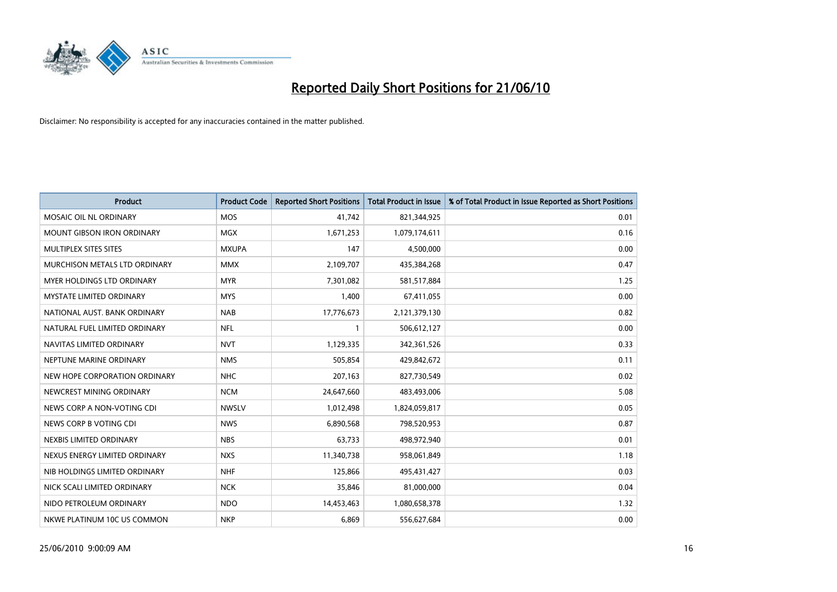

| <b>Product</b>                    | <b>Product Code</b> | <b>Reported Short Positions</b> | Total Product in Issue | % of Total Product in Issue Reported as Short Positions |
|-----------------------------------|---------------------|---------------------------------|------------------------|---------------------------------------------------------|
| MOSAIC OIL NL ORDINARY            | <b>MOS</b>          | 41,742                          | 821,344,925            | 0.01                                                    |
| MOUNT GIBSON IRON ORDINARY        | <b>MGX</b>          | 1,671,253                       | 1,079,174,611          | 0.16                                                    |
| MULTIPLEX SITES SITES             | <b>MXUPA</b>        | 147                             | 4,500,000              | 0.00                                                    |
| MURCHISON METALS LTD ORDINARY     | <b>MMX</b>          | 2,109,707                       | 435,384,268            | 0.47                                                    |
| <b>MYER HOLDINGS LTD ORDINARY</b> | <b>MYR</b>          | 7,301,082                       | 581,517,884            | 1.25                                                    |
| <b>MYSTATE LIMITED ORDINARY</b>   | <b>MYS</b>          | 1,400                           | 67,411,055             | 0.00                                                    |
| NATIONAL AUST. BANK ORDINARY      | <b>NAB</b>          | 17,776,673                      | 2,121,379,130          | 0.82                                                    |
| NATURAL FUEL LIMITED ORDINARY     | <b>NFL</b>          |                                 | 506,612,127            | 0.00                                                    |
| NAVITAS LIMITED ORDINARY          | <b>NVT</b>          | 1,129,335                       | 342,361,526            | 0.33                                                    |
| NEPTUNE MARINE ORDINARY           | <b>NMS</b>          | 505,854                         | 429,842,672            | 0.11                                                    |
| NEW HOPE CORPORATION ORDINARY     | <b>NHC</b>          | 207,163                         | 827,730,549            | 0.02                                                    |
| NEWCREST MINING ORDINARY          | <b>NCM</b>          | 24,647,660                      | 483,493,006            | 5.08                                                    |
| NEWS CORP A NON-VOTING CDI        | <b>NWSLV</b>        | 1,012,498                       | 1,824,059,817          | 0.05                                                    |
| NEWS CORP B VOTING CDI            | <b>NWS</b>          | 6,890,568                       | 798,520,953            | 0.87                                                    |
| NEXBIS LIMITED ORDINARY           | <b>NBS</b>          | 63,733                          | 498,972,940            | 0.01                                                    |
| NEXUS ENERGY LIMITED ORDINARY     | <b>NXS</b>          | 11,340,738                      | 958,061,849            | 1.18                                                    |
| NIB HOLDINGS LIMITED ORDINARY     | <b>NHF</b>          | 125,866                         | 495,431,427            | 0.03                                                    |
| NICK SCALI LIMITED ORDINARY       | <b>NCK</b>          | 35,846                          | 81,000,000             | 0.04                                                    |
| NIDO PETROLEUM ORDINARY           | <b>NDO</b>          | 14,453,463                      | 1,080,658,378          | 1.32                                                    |
| NKWE PLATINUM 10C US COMMON       | <b>NKP</b>          | 6,869                           | 556,627,684            | 0.00                                                    |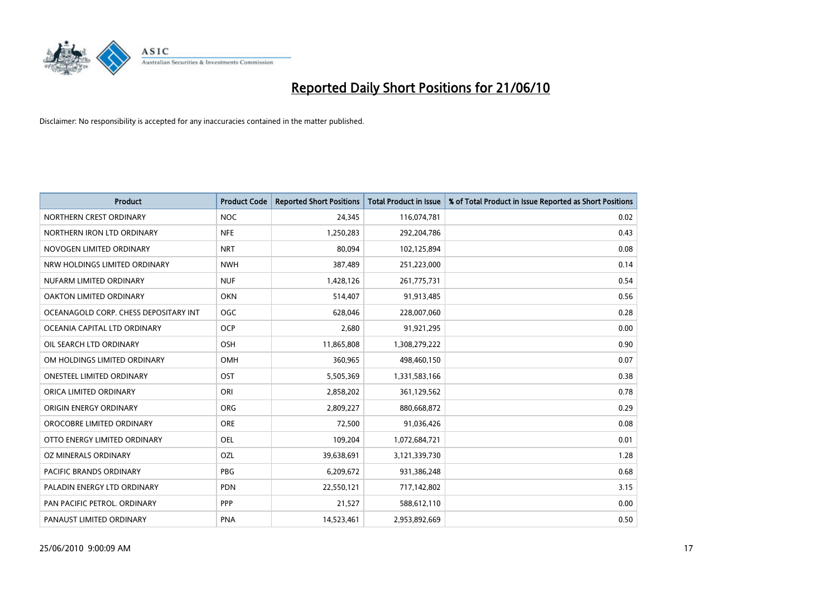

| <b>Product</b>                        | <b>Product Code</b> | <b>Reported Short Positions</b> | <b>Total Product in Issue</b> | % of Total Product in Issue Reported as Short Positions |
|---------------------------------------|---------------------|---------------------------------|-------------------------------|---------------------------------------------------------|
| NORTHERN CREST ORDINARY               | <b>NOC</b>          | 24,345                          | 116,074,781                   | 0.02                                                    |
| NORTHERN IRON LTD ORDINARY            | <b>NFE</b>          | 1,250,283                       | 292,204,786                   | 0.43                                                    |
| NOVOGEN LIMITED ORDINARY              | <b>NRT</b>          | 80.094                          | 102,125,894                   | 0.08                                                    |
| NRW HOLDINGS LIMITED ORDINARY         | <b>NWH</b>          | 387,489                         | 251,223,000                   | 0.14                                                    |
| NUFARM LIMITED ORDINARY               | <b>NUF</b>          | 1,428,126                       | 261,775,731                   | 0.54                                                    |
| OAKTON LIMITED ORDINARY               | <b>OKN</b>          | 514,407                         | 91,913,485                    | 0.56                                                    |
| OCEANAGOLD CORP. CHESS DEPOSITARY INT | OGC                 | 628,046                         | 228,007,060                   | 0.28                                                    |
| OCEANIA CAPITAL LTD ORDINARY          | <b>OCP</b>          | 2,680                           | 91,921,295                    | 0.00                                                    |
| OIL SEARCH LTD ORDINARY               | OSH                 | 11,865,808                      | 1,308,279,222                 | 0.90                                                    |
| OM HOLDINGS LIMITED ORDINARY          | OMH                 | 360,965                         | 498,460,150                   | 0.07                                                    |
| ONESTEEL LIMITED ORDINARY             | OST                 | 5,505,369                       | 1,331,583,166                 | 0.38                                                    |
| ORICA LIMITED ORDINARY                | ORI                 | 2,858,202                       | 361,129,562                   | 0.78                                                    |
| ORIGIN ENERGY ORDINARY                | <b>ORG</b>          | 2,809,227                       | 880,668,872                   | 0.29                                                    |
| OROCOBRE LIMITED ORDINARY             | <b>ORE</b>          | 72,500                          | 91,036,426                    | 0.08                                                    |
| OTTO ENERGY LIMITED ORDINARY          | <b>OEL</b>          | 109,204                         | 1,072,684,721                 | 0.01                                                    |
| OZ MINERALS ORDINARY                  | OZL                 | 39,638,691                      | 3,121,339,730                 | 1.28                                                    |
| PACIFIC BRANDS ORDINARY               | <b>PBG</b>          | 6,209,672                       | 931,386,248                   | 0.68                                                    |
| PALADIN ENERGY LTD ORDINARY           | <b>PDN</b>          | 22,550,121                      | 717,142,802                   | 3.15                                                    |
| PAN PACIFIC PETROL. ORDINARY          | PPP                 | 21,527                          | 588,612,110                   | 0.00                                                    |
| PANAUST LIMITED ORDINARY              | <b>PNA</b>          | 14,523,461                      | 2,953,892,669                 | 0.50                                                    |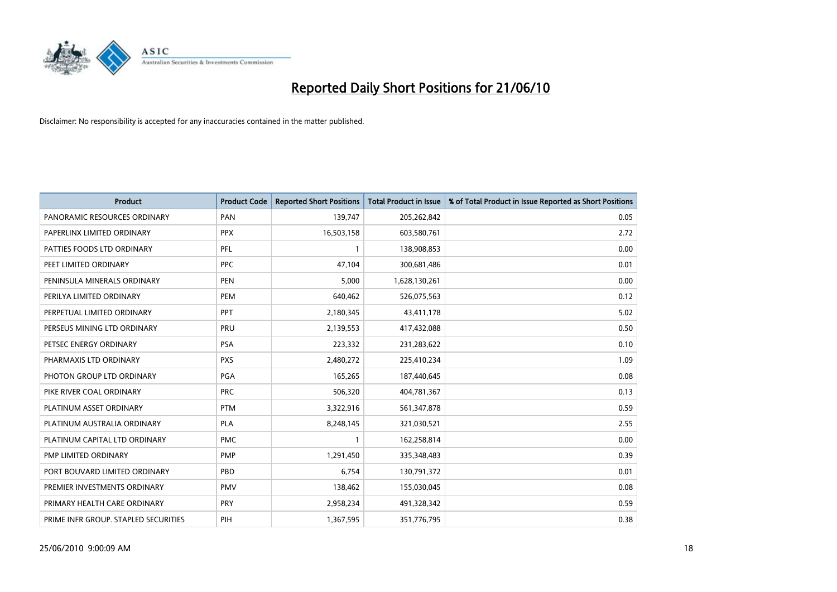

| <b>Product</b>                       | <b>Product Code</b> | <b>Reported Short Positions</b> | <b>Total Product in Issue</b> | % of Total Product in Issue Reported as Short Positions |
|--------------------------------------|---------------------|---------------------------------|-------------------------------|---------------------------------------------------------|
| PANORAMIC RESOURCES ORDINARY         | PAN                 | 139,747                         | 205,262,842                   | 0.05                                                    |
| PAPERLINX LIMITED ORDINARY           | <b>PPX</b>          | 16,503,158                      | 603,580,761                   | 2.72                                                    |
| PATTIES FOODS LTD ORDINARY           | PFL                 |                                 | 138,908,853                   | 0.00                                                    |
| PEET LIMITED ORDINARY                | <b>PPC</b>          | 47,104                          | 300,681,486                   | 0.01                                                    |
| PENINSULA MINERALS ORDINARY          | <b>PEN</b>          | 5,000                           | 1,628,130,261                 | 0.00                                                    |
| PERILYA LIMITED ORDINARY             | PEM                 | 640,462                         | 526,075,563                   | 0.12                                                    |
| PERPETUAL LIMITED ORDINARY           | PPT                 | 2,180,345                       | 43,411,178                    | 5.02                                                    |
| PERSEUS MINING LTD ORDINARY          | PRU                 | 2,139,553                       | 417,432,088                   | 0.50                                                    |
| PETSEC ENERGY ORDINARY               | <b>PSA</b>          | 223,332                         | 231,283,622                   | 0.10                                                    |
| PHARMAXIS LTD ORDINARY               | <b>PXS</b>          | 2,480,272                       | 225,410,234                   | 1.09                                                    |
| PHOTON GROUP LTD ORDINARY            | PGA                 | 165,265                         | 187,440,645                   | 0.08                                                    |
| PIKE RIVER COAL ORDINARY             | <b>PRC</b>          | 506,320                         | 404,781,367                   | 0.13                                                    |
| PLATINUM ASSET ORDINARY              | <b>PTM</b>          | 3,322,916                       | 561,347,878                   | 0.59                                                    |
| PLATINUM AUSTRALIA ORDINARY          | PLA                 | 8,248,145                       | 321,030,521                   | 2.55                                                    |
| PLATINUM CAPITAL LTD ORDINARY        | <b>PMC</b>          |                                 | 162,258,814                   | 0.00                                                    |
| PMP LIMITED ORDINARY                 | PMP                 | 1,291,450                       | 335,348,483                   | 0.39                                                    |
| PORT BOUVARD LIMITED ORDINARY        | PBD                 | 6,754                           | 130,791,372                   | 0.01                                                    |
| PREMIER INVESTMENTS ORDINARY         | <b>PMV</b>          | 138,462                         | 155,030,045                   | 0.08                                                    |
| PRIMARY HEALTH CARE ORDINARY         | <b>PRY</b>          | 2,958,234                       | 491,328,342                   | 0.59                                                    |
| PRIME INFR GROUP. STAPLED SECURITIES | PIH                 | 1,367,595                       | 351,776,795                   | 0.38                                                    |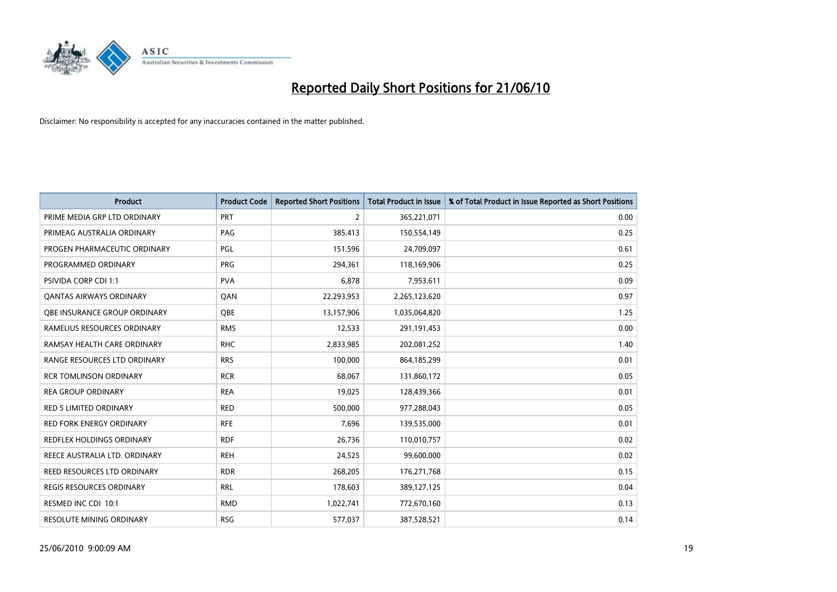

| <b>Product</b>                   | <b>Product Code</b> | <b>Reported Short Positions</b> | Total Product in Issue | % of Total Product in Issue Reported as Short Positions |
|----------------------------------|---------------------|---------------------------------|------------------------|---------------------------------------------------------|
| PRIME MEDIA GRP LTD ORDINARY     | <b>PRT</b>          | $\overline{2}$                  | 365,221,071            | 0.00                                                    |
| PRIMEAG AUSTRALIA ORDINARY       | PAG                 | 385,413                         | 150,554,149            | 0.25                                                    |
| PROGEN PHARMACEUTIC ORDINARY     | PGL                 | 151,596                         | 24,709,097             | 0.61                                                    |
| PROGRAMMED ORDINARY              | <b>PRG</b>          | 294,361                         | 118,169,906            | 0.25                                                    |
| <b>PSIVIDA CORP CDI 1:1</b>      | <b>PVA</b>          | 6,878                           | 7,953,611              | 0.09                                                    |
| <b>QANTAS AIRWAYS ORDINARY</b>   | QAN                 | 22,293,953                      | 2,265,123,620          | 0.97                                                    |
| OBE INSURANCE GROUP ORDINARY     | <b>OBE</b>          | 13,157,906                      | 1,035,064,820          | 1.25                                                    |
| RAMELIUS RESOURCES ORDINARY      | <b>RMS</b>          | 12,533                          | 291,191,453            | 0.00                                                    |
| RAMSAY HEALTH CARE ORDINARY      | <b>RHC</b>          | 2,833,985                       | 202,081,252            | 1.40                                                    |
| RANGE RESOURCES LTD ORDINARY     | <b>RRS</b>          | 100,000                         | 864,185,299            | 0.01                                                    |
| <b>RCR TOMLINSON ORDINARY</b>    | <b>RCR</b>          | 68,067                          | 131,860,172            | 0.05                                                    |
| <b>REA GROUP ORDINARY</b>        | <b>REA</b>          | 19,025                          | 128,439,366            | 0.01                                                    |
| RED 5 LIMITED ORDINARY           | <b>RED</b>          | 500,000                         | 977,288,043            | 0.05                                                    |
| <b>RED FORK ENERGY ORDINARY</b>  | <b>RFE</b>          | 7,696                           | 139,535,000            | 0.01                                                    |
| <b>REDFLEX HOLDINGS ORDINARY</b> | <b>RDF</b>          | 26,736                          | 110,010,757            | 0.02                                                    |
| REECE AUSTRALIA LTD. ORDINARY    | <b>REH</b>          | 24,525                          | 99,600,000             | 0.02                                                    |
| REED RESOURCES LTD ORDINARY      | <b>RDR</b>          | 268,205                         | 176,271,768            | 0.15                                                    |
| REGIS RESOURCES ORDINARY         | <b>RRL</b>          | 178,603                         | 389,127,125            | 0.04                                                    |
| RESMED INC CDI 10:1              | <b>RMD</b>          | 1,022,741                       | 772,670,160            | 0.13                                                    |
| RESOLUTE MINING ORDINARY         | <b>RSG</b>          | 577,037                         | 387,528,521            | 0.14                                                    |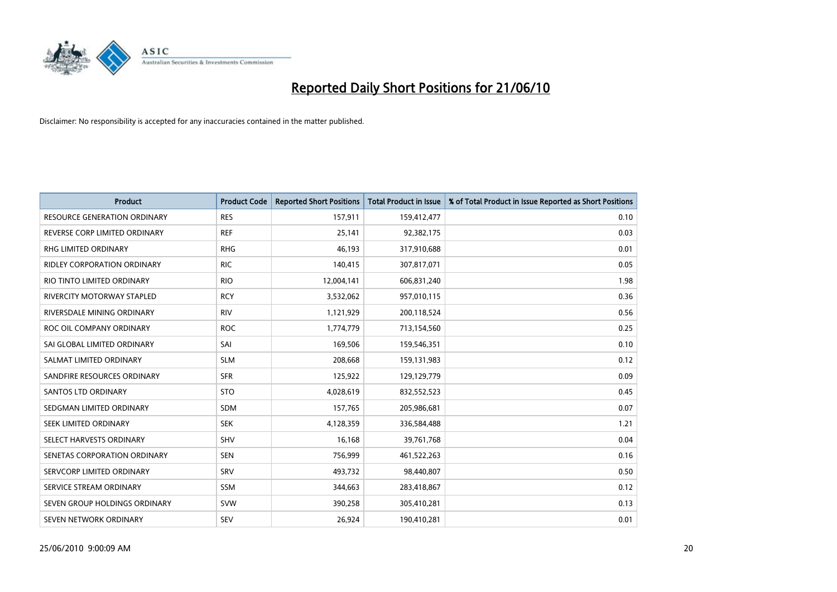

| <b>Product</b>                      | <b>Product Code</b> | <b>Reported Short Positions</b> | Total Product in Issue | % of Total Product in Issue Reported as Short Positions |
|-------------------------------------|---------------------|---------------------------------|------------------------|---------------------------------------------------------|
| <b>RESOURCE GENERATION ORDINARY</b> | <b>RES</b>          | 157,911                         | 159,412,477            | 0.10                                                    |
| REVERSE CORP LIMITED ORDINARY       | <b>REF</b>          | 25,141                          | 92,382,175             | 0.03                                                    |
| RHG LIMITED ORDINARY                | <b>RHG</b>          | 46.193                          | 317,910,688            | 0.01                                                    |
| <b>RIDLEY CORPORATION ORDINARY</b>  | <b>RIC</b>          | 140,415                         | 307,817,071            | 0.05                                                    |
| RIO TINTO LIMITED ORDINARY          | <b>RIO</b>          | 12,004,141                      | 606,831,240            | 1.98                                                    |
| <b>RIVERCITY MOTORWAY STAPLED</b>   | <b>RCY</b>          | 3,532,062                       | 957,010,115            | 0.36                                                    |
| RIVERSDALE MINING ORDINARY          | <b>RIV</b>          | 1,121,929                       | 200,118,524            | 0.56                                                    |
| ROC OIL COMPANY ORDINARY            | <b>ROC</b>          | 1,774,779                       | 713,154,560            | 0.25                                                    |
| SAI GLOBAL LIMITED ORDINARY         | SAI                 | 169,506                         | 159,546,351            | 0.10                                                    |
| SALMAT LIMITED ORDINARY             | <b>SLM</b>          | 208,668                         | 159,131,983            | 0.12                                                    |
| SANDFIRE RESOURCES ORDINARY         | <b>SFR</b>          | 125,922                         | 129,129,779            | 0.09                                                    |
| <b>SANTOS LTD ORDINARY</b>          | <b>STO</b>          | 4,028,619                       | 832,552,523            | 0.45                                                    |
| SEDGMAN LIMITED ORDINARY            | <b>SDM</b>          | 157,765                         | 205,986,681            | 0.07                                                    |
| SEEK LIMITED ORDINARY               | <b>SEK</b>          | 4,128,359                       | 336,584,488            | 1.21                                                    |
| SELECT HARVESTS ORDINARY            | SHV                 | 16,168                          | 39,761,768             | 0.04                                                    |
| SENETAS CORPORATION ORDINARY        | <b>SEN</b>          | 756,999                         | 461,522,263            | 0.16                                                    |
| SERVCORP LIMITED ORDINARY           | SRV                 | 493,732                         | 98,440,807             | 0.50                                                    |
| SERVICE STREAM ORDINARY             | <b>SSM</b>          | 344,663                         | 283,418,867            | 0.12                                                    |
| SEVEN GROUP HOLDINGS ORDINARY       | <b>SVW</b>          | 390,258                         | 305,410,281            | 0.13                                                    |
| SEVEN NETWORK ORDINARY              | SEV                 | 26,924                          | 190,410,281            | 0.01                                                    |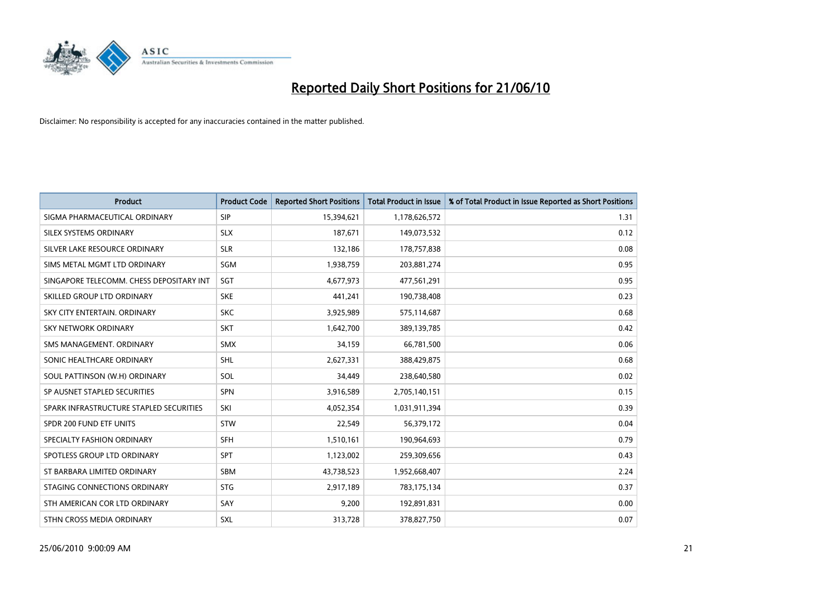

| <b>Product</b>                           | <b>Product Code</b> | <b>Reported Short Positions</b> | Total Product in Issue | % of Total Product in Issue Reported as Short Positions |
|------------------------------------------|---------------------|---------------------------------|------------------------|---------------------------------------------------------|
| SIGMA PHARMACEUTICAL ORDINARY            | SIP                 | 15,394,621                      | 1,178,626,572          | 1.31                                                    |
| SILEX SYSTEMS ORDINARY                   | <b>SLX</b>          | 187,671                         | 149,073,532            | 0.12                                                    |
| SILVER LAKE RESOURCE ORDINARY            | <b>SLR</b>          | 132,186                         | 178,757,838            | 0.08                                                    |
| SIMS METAL MGMT LTD ORDINARY             | SGM                 | 1,938,759                       | 203,881,274            | 0.95                                                    |
| SINGAPORE TELECOMM. CHESS DEPOSITARY INT | SGT                 | 4,677,973                       | 477,561,291            | 0.95                                                    |
| SKILLED GROUP LTD ORDINARY               | <b>SKE</b>          | 441,241                         | 190,738,408            | 0.23                                                    |
| SKY CITY ENTERTAIN, ORDINARY             | <b>SKC</b>          | 3,925,989                       | 575,114,687            | 0.68                                                    |
| <b>SKY NETWORK ORDINARY</b>              | <b>SKT</b>          | 1,642,700                       | 389,139,785            | 0.42                                                    |
| SMS MANAGEMENT. ORDINARY                 | <b>SMX</b>          | 34,159                          | 66,781,500             | 0.06                                                    |
| SONIC HEALTHCARE ORDINARY                | <b>SHL</b>          | 2,627,331                       | 388,429,875            | 0.68                                                    |
| SOUL PATTINSON (W.H) ORDINARY            | SOL                 | 34,449                          | 238,640,580            | 0.02                                                    |
| SP AUSNET STAPLED SECURITIES             | SPN                 | 3,916,589                       | 2,705,140,151          | 0.15                                                    |
| SPARK INFRASTRUCTURE STAPLED SECURITIES  | SKI                 | 4,052,354                       | 1,031,911,394          | 0.39                                                    |
| SPDR 200 FUND ETF UNITS                  | STW                 | 22,549                          | 56,379,172             | 0.04                                                    |
| SPECIALTY FASHION ORDINARY               | <b>SFH</b>          | 1,510,161                       | 190,964,693            | 0.79                                                    |
| SPOTLESS GROUP LTD ORDINARY              | <b>SPT</b>          | 1,123,002                       | 259,309,656            | 0.43                                                    |
| ST BARBARA LIMITED ORDINARY              | <b>SBM</b>          | 43,738,523                      | 1,952,668,407          | 2.24                                                    |
| STAGING CONNECTIONS ORDINARY             | <b>STG</b>          | 2,917,189                       | 783,175,134            | 0.37                                                    |
| STH AMERICAN COR LTD ORDINARY            | SAY                 | 9,200                           | 192,891,831            | 0.00                                                    |
| STHN CROSS MEDIA ORDINARY                | <b>SXL</b>          | 313,728                         | 378,827,750            | 0.07                                                    |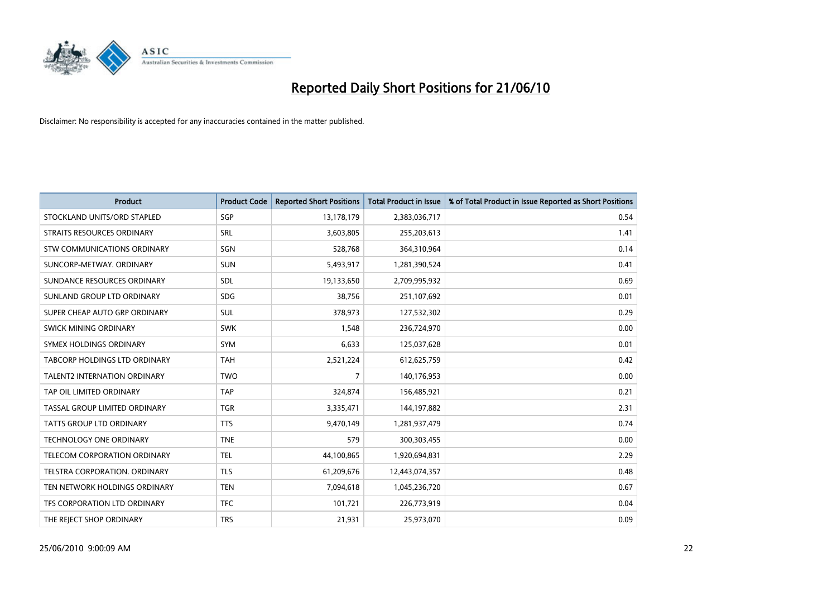

| <b>Product</b>                      | <b>Product Code</b> | <b>Reported Short Positions</b> | Total Product in Issue | % of Total Product in Issue Reported as Short Positions |
|-------------------------------------|---------------------|---------------------------------|------------------------|---------------------------------------------------------|
| STOCKLAND UNITS/ORD STAPLED         | SGP                 | 13,178,179                      | 2,383,036,717          | 0.54                                                    |
| STRAITS RESOURCES ORDINARY          | SRL                 | 3,603,805                       | 255,203,613            | 1.41                                                    |
| STW COMMUNICATIONS ORDINARY         | SGN                 | 528,768                         | 364,310,964            | 0.14                                                    |
| SUNCORP-METWAY, ORDINARY            | <b>SUN</b>          | 5,493,917                       | 1,281,390,524          | 0.41                                                    |
| SUNDANCE RESOURCES ORDINARY         | <b>SDL</b>          | 19,133,650                      | 2,709,995,932          | 0.69                                                    |
| SUNLAND GROUP LTD ORDINARY          | <b>SDG</b>          | 38.756                          | 251,107,692            | 0.01                                                    |
| SUPER CHEAP AUTO GRP ORDINARY       | <b>SUL</b>          | 378,973                         | 127,532,302            | 0.29                                                    |
| SWICK MINING ORDINARY               | <b>SWK</b>          | 1,548                           | 236,724,970            | 0.00                                                    |
| SYMEX HOLDINGS ORDINARY             | <b>SYM</b>          | 6,633                           | 125,037,628            | 0.01                                                    |
| TABCORP HOLDINGS LTD ORDINARY       | <b>TAH</b>          | 2,521,224                       | 612,625,759            | 0.42                                                    |
| <b>TALENT2 INTERNATION ORDINARY</b> | <b>TWO</b>          | 7                               | 140,176,953            | 0.00                                                    |
| TAP OIL LIMITED ORDINARY            | <b>TAP</b>          | 324,874                         | 156,485,921            | 0.21                                                    |
| TASSAL GROUP LIMITED ORDINARY       | <b>TGR</b>          | 3,335,471                       | 144,197,882            | 2.31                                                    |
| <b>TATTS GROUP LTD ORDINARY</b>     | <b>TTS</b>          | 9,470,149                       | 1,281,937,479          | 0.74                                                    |
| <b>TECHNOLOGY ONE ORDINARY</b>      | <b>TNE</b>          | 579                             | 300, 303, 455          | 0.00                                                    |
| TELECOM CORPORATION ORDINARY        | <b>TEL</b>          | 44,100,865                      | 1,920,694,831          | 2.29                                                    |
| TELSTRA CORPORATION, ORDINARY       | <b>TLS</b>          | 61,209,676                      | 12,443,074,357         | 0.48                                                    |
| TEN NETWORK HOLDINGS ORDINARY       | <b>TEN</b>          | 7,094,618                       | 1,045,236,720          | 0.67                                                    |
| TFS CORPORATION LTD ORDINARY        | <b>TFC</b>          | 101,721                         | 226,773,919            | 0.04                                                    |
| THE REJECT SHOP ORDINARY            | <b>TRS</b>          | 21,931                          | 25,973,070             | 0.09                                                    |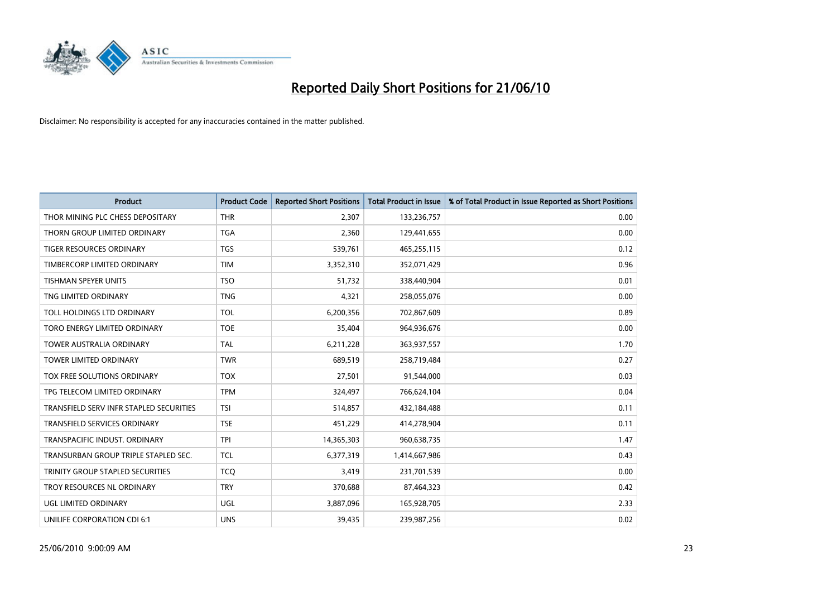

| <b>Product</b>                          | <b>Product Code</b> | <b>Reported Short Positions</b> | <b>Total Product in Issue</b> | % of Total Product in Issue Reported as Short Positions |
|-----------------------------------------|---------------------|---------------------------------|-------------------------------|---------------------------------------------------------|
| THOR MINING PLC CHESS DEPOSITARY        | <b>THR</b>          | 2,307                           | 133,236,757                   | 0.00                                                    |
| THORN GROUP LIMITED ORDINARY            | <b>TGA</b>          | 2,360                           | 129,441,655                   | 0.00                                                    |
| TIGER RESOURCES ORDINARY                | <b>TGS</b>          | 539,761                         | 465,255,115                   | 0.12                                                    |
| TIMBERCORP LIMITED ORDINARY             | <b>TIM</b>          | 3,352,310                       | 352,071,429                   | 0.96                                                    |
| <b>TISHMAN SPEYER UNITS</b>             | <b>TSO</b>          | 51,732                          | 338,440,904                   | 0.01                                                    |
| TNG LIMITED ORDINARY                    | <b>TNG</b>          | 4,321                           | 258,055,076                   | 0.00                                                    |
| TOLL HOLDINGS LTD ORDINARY              | <b>TOL</b>          | 6,200,356                       | 702,867,609                   | 0.89                                                    |
| TORO ENERGY LIMITED ORDINARY            | <b>TOE</b>          | 35,404                          | 964,936,676                   | 0.00                                                    |
| <b>TOWER AUSTRALIA ORDINARY</b>         | <b>TAL</b>          | 6,211,228                       | 363,937,557                   | 1.70                                                    |
| <b>TOWER LIMITED ORDINARY</b>           | <b>TWR</b>          | 689,519                         | 258,719,484                   | 0.27                                                    |
| TOX FREE SOLUTIONS ORDINARY             | <b>TOX</b>          | 27,501                          | 91,544,000                    | 0.03                                                    |
| TPG TELECOM LIMITED ORDINARY            | <b>TPM</b>          | 324,497                         | 766,624,104                   | 0.04                                                    |
| TRANSFIELD SERV INFR STAPLED SECURITIES | <b>TSI</b>          | 514,857                         | 432,184,488                   | 0.11                                                    |
| <b>TRANSFIELD SERVICES ORDINARY</b>     | <b>TSE</b>          | 451,229                         | 414,278,904                   | 0.11                                                    |
| TRANSPACIFIC INDUST, ORDINARY           | <b>TPI</b>          | 14,365,303                      | 960,638,735                   | 1.47                                                    |
| TRANSURBAN GROUP TRIPLE STAPLED SEC.    | <b>TCL</b>          | 6,377,319                       | 1,414,667,986                 | 0.43                                                    |
| TRINITY GROUP STAPLED SECURITIES        | <b>TCQ</b>          | 3,419                           | 231,701,539                   | 0.00                                                    |
| TROY RESOURCES NL ORDINARY              | <b>TRY</b>          | 370,688                         | 87,464,323                    | 0.42                                                    |
| <b>UGL LIMITED ORDINARY</b>             | UGL                 | 3,887,096                       | 165,928,705                   | 2.33                                                    |
| UNILIFE CORPORATION CDI 6:1             | <b>UNS</b>          | 39,435                          | 239,987,256                   | 0.02                                                    |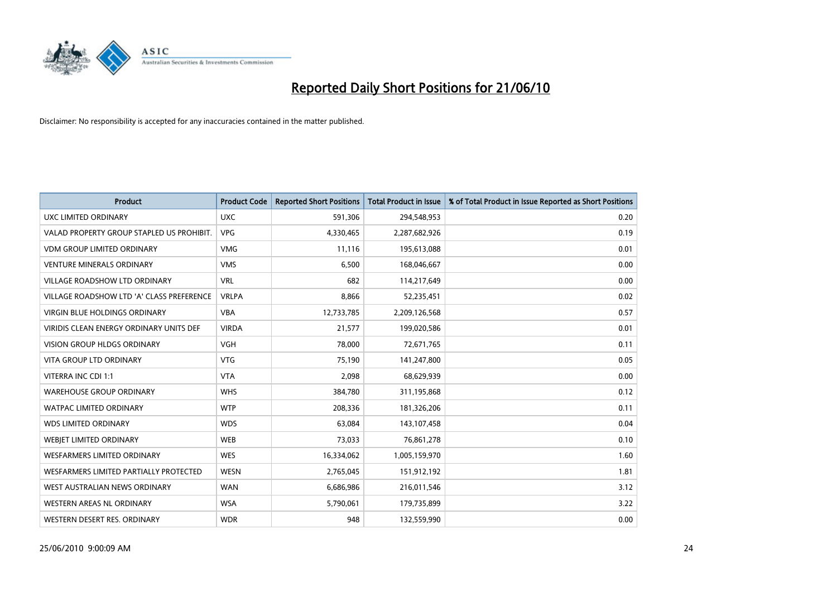

| <b>Product</b>                            | <b>Product Code</b> | <b>Reported Short Positions</b> | <b>Total Product in Issue</b> | % of Total Product in Issue Reported as Short Positions |
|-------------------------------------------|---------------------|---------------------------------|-------------------------------|---------------------------------------------------------|
| <b>UXC LIMITED ORDINARY</b>               | <b>UXC</b>          | 591,306                         | 294,548,953                   | 0.20                                                    |
| VALAD PROPERTY GROUP STAPLED US PROHIBIT. | <b>VPG</b>          | 4,330,465                       | 2,287,682,926                 | 0.19                                                    |
| <b>VDM GROUP LIMITED ORDINARY</b>         | <b>VMG</b>          | 11,116                          | 195,613,088                   | 0.01                                                    |
| <b>VENTURE MINERALS ORDINARY</b>          | <b>VMS</b>          | 6,500                           | 168,046,667                   | 0.00                                                    |
| <b>VILLAGE ROADSHOW LTD ORDINARY</b>      | <b>VRL</b>          | 682                             | 114,217,649                   | 0.00                                                    |
| VILLAGE ROADSHOW LTD 'A' CLASS PREFERENCE | <b>VRLPA</b>        | 8,866                           | 52,235,451                    | 0.02                                                    |
| VIRGIN BLUE HOLDINGS ORDINARY             | <b>VBA</b>          | 12,733,785                      | 2,209,126,568                 | 0.57                                                    |
| VIRIDIS CLEAN ENERGY ORDINARY UNITS DEF   | <b>VIRDA</b>        | 21,577                          | 199,020,586                   | 0.01                                                    |
| <b>VISION GROUP HLDGS ORDINARY</b>        | <b>VGH</b>          | 78,000                          | 72,671,765                    | 0.11                                                    |
| <b>VITA GROUP LTD ORDINARY</b>            | <b>VTG</b>          | 75,190                          | 141,247,800                   | 0.05                                                    |
| VITERRA INC CDI 1:1                       | <b>VTA</b>          | 2,098                           | 68,629,939                    | 0.00                                                    |
| <b>WAREHOUSE GROUP ORDINARY</b>           | <b>WHS</b>          | 384,780                         | 311,195,868                   | 0.12                                                    |
| <b>WATPAC LIMITED ORDINARY</b>            | <b>WTP</b>          | 208,336                         | 181,326,206                   | 0.11                                                    |
| <b>WDS LIMITED ORDINARY</b>               | <b>WDS</b>          | 63,084                          | 143,107,458                   | 0.04                                                    |
| <b>WEBJET LIMITED ORDINARY</b>            | <b>WEB</b>          | 73,033                          | 76,861,278                    | 0.10                                                    |
| <b>WESFARMERS LIMITED ORDINARY</b>        | <b>WES</b>          | 16,334,062                      | 1,005,159,970                 | 1.60                                                    |
| WESFARMERS LIMITED PARTIALLY PROTECTED    | WESN                | 2,765,045                       | 151,912,192                   | 1.81                                                    |
| WEST AUSTRALIAN NEWS ORDINARY             | <b>WAN</b>          | 6,686,986                       | 216,011,546                   | 3.12                                                    |
| WESTERN AREAS NL ORDINARY                 | <b>WSA</b>          | 5,790,061                       | 179,735,899                   | 3.22                                                    |
| WESTERN DESERT RES. ORDINARY              | <b>WDR</b>          | 948                             | 132,559,990                   | 0.00                                                    |